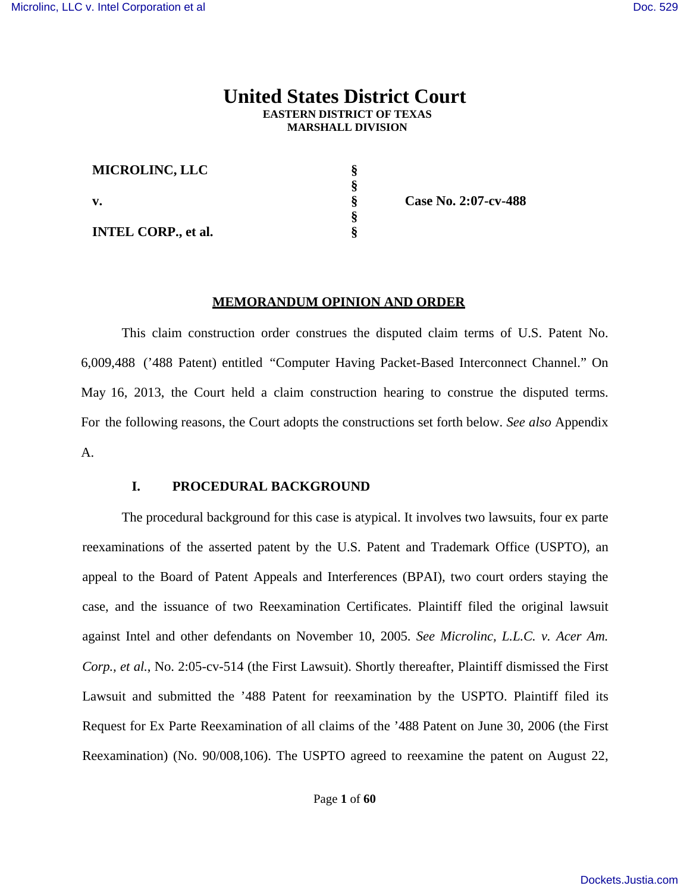# **United States District Court EASTERN DISTRICT OF TEXAS MARSHALL DIVISION**

| <b>MICROLINC, LLC</b>      |  |
|----------------------------|--|
|                            |  |
| v.                         |  |
|                            |  |
| <b>INTEL CORP., et al.</b> |  |

**v. § Case No. 2:07-cv-488**

#### **MEMORANDUM OPINION AND ORDER**

This claim construction order construes the disputed claim terms of U.S. Patent No. 6,009,488 ('488 Patent) entitled "Computer Having Packet-Based Interconnect Channel." On May 16, 2013, the Court held a claim construction hearing to construe the disputed terms. For the following reasons, the Court adopts the constructions set forth below. *See also* Appendix A.

## **I. PROCEDURAL BACKGROUND**

The procedural background for this case is atypical. It involves two lawsuits, four ex parte reexaminations of the asserted patent by the U.S. Patent and Trademark Office (USPTO), an appeal to the Board of Patent Appeals and Interferences (BPAI), two court orders staying the case, and the issuance of two Reexamination Certificates. Plaintiff filed the original lawsuit against Intel and other defendants on November 10, 2005. *See Microlinc, L.L.C. v. Acer Am. Corp., et al.*, No. 2:05-cv-514 (the First Lawsuit). Shortly thereafter, Plaintiff dismissed the First Lawsuit and submitted the '488 Patent for reexamination by the USPTO. Plaintiff filed its Request for Ex Parte Reexamination of all claims of the '488 Patent on June 30, 2006 (the First Reexamination) (No. 90/008,106). The USPTO agreed to reexamine the patent on August 22,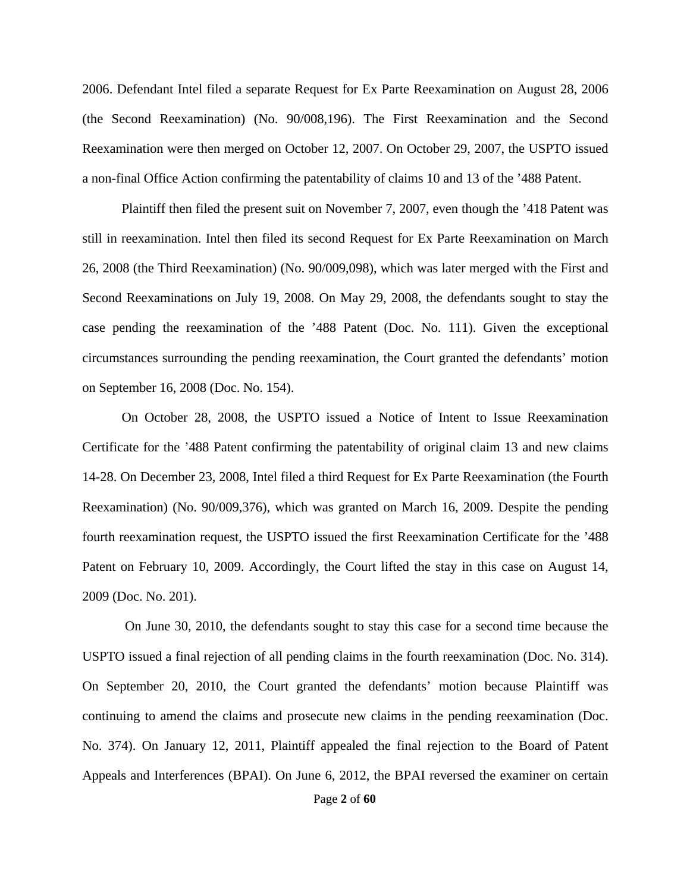2006. Defendant Intel filed a separate Request for Ex Parte Reexamination on August 28, 2006 (the Second Reexamination) (No. 90/008,196). The First Reexamination and the Second Reexamination were then merged on October 12, 2007. On October 29, 2007, the USPTO issued a non-final Office Action confirming the patentability of claims 10 and 13 of the '488 Patent.

Plaintiff then filed the present suit on November 7, 2007, even though the '418 Patent was still in reexamination. Intel then filed its second Request for Ex Parte Reexamination on March 26, 2008 (the Third Reexamination) (No. 90/009,098), which was later merged with the First and Second Reexaminations on July 19, 2008. On May 29, 2008, the defendants sought to stay the case pending the reexamination of the '488 Patent (Doc. No. 111). Given the exceptional circumstances surrounding the pending reexamination, the Court granted the defendants' motion on September 16, 2008 (Doc. No. 154).

On October 28, 2008, the USPTO issued a Notice of Intent to Issue Reexamination Certificate for the '488 Patent confirming the patentability of original claim 13 and new claims 14-28. On December 23, 2008, Intel filed a third Request for Ex Parte Reexamination (the Fourth Reexamination) (No. 90/009,376), which was granted on March 16, 2009. Despite the pending fourth reexamination request, the USPTO issued the first Reexamination Certificate for the '488 Patent on February 10, 2009. Accordingly, the Court lifted the stay in this case on August 14, 2009 (Doc. No. 201).

 On June 30, 2010, the defendants sought to stay this case for a second time because the USPTO issued a final rejection of all pending claims in the fourth reexamination (Doc. No. 314). On September 20, 2010, the Court granted the defendants' motion because Plaintiff was continuing to amend the claims and prosecute new claims in the pending reexamination (Doc. No. 374). On January 12, 2011, Plaintiff appealed the final rejection to the Board of Patent Appeals and Interferences (BPAI). On June 6, 2012, the BPAI reversed the examiner on certain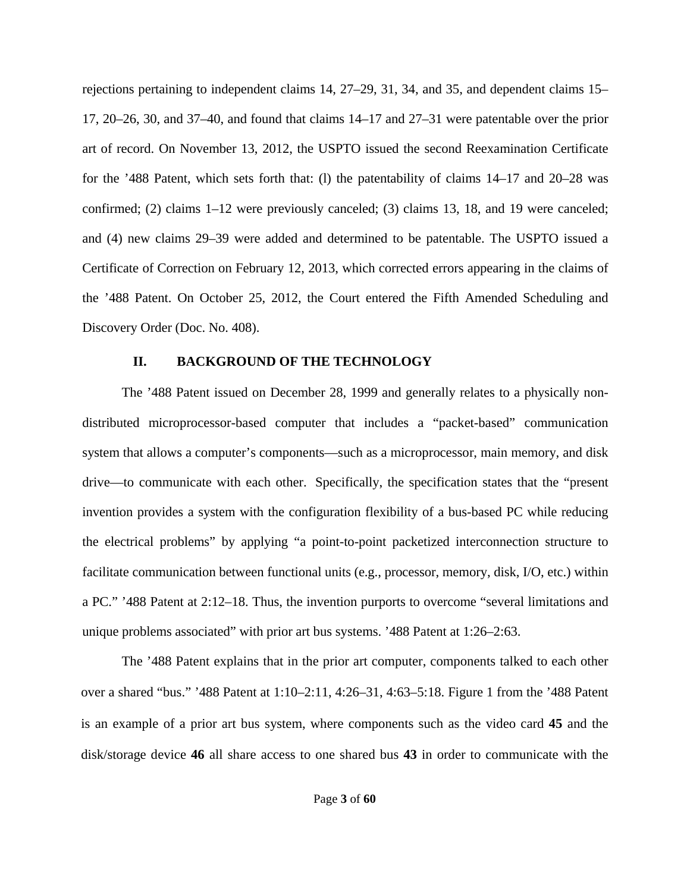rejections pertaining to independent claims 14, 27–29, 31, 34, and 35, and dependent claims 15– 17, 20–26, 30, and 37–40, and found that claims 14–17 and 27–31 were patentable over the prior art of record. On November 13, 2012, the USPTO issued the second Reexamination Certificate for the '488 Patent, which sets forth that: (l) the patentability of claims 14–17 and 20–28 was confirmed; (2) claims 1–12 were previously canceled; (3) claims 13, 18, and 19 were canceled; and (4) new claims 29–39 were added and determined to be patentable. The USPTO issued a Certificate of Correction on February 12, 2013, which corrected errors appearing in the claims of the '488 Patent. On October 25, 2012, the Court entered the Fifth Amended Scheduling and Discovery Order (Doc. No. 408).

## **II. BACKGROUND OF THE TECHNOLOGY**

The '488 Patent issued on December 28, 1999 and generally relates to a physically nondistributed microprocessor-based computer that includes a "packet-based" communication system that allows a computer's components—such as a microprocessor, main memory, and disk drive—to communicate with each other. Specifically, the specification states that the "present invention provides a system with the configuration flexibility of a bus-based PC while reducing the electrical problems" by applying "a point-to-point packetized interconnection structure to facilitate communication between functional units (e.g., processor, memory, disk, I/O, etc.) within a PC." '488 Patent at 2:12–18. Thus, the invention purports to overcome "several limitations and unique problems associated" with prior art bus systems. '488 Patent at 1:26–2:63.

The '488 Patent explains that in the prior art computer, components talked to each other over a shared "bus." '488 Patent at 1:10–2:11, 4:26–31, 4:63–5:18. Figure 1 from the '488 Patent is an example of a prior art bus system, where components such as the video card **45** and the disk/storage device **46** all share access to one shared bus **43** in order to communicate with the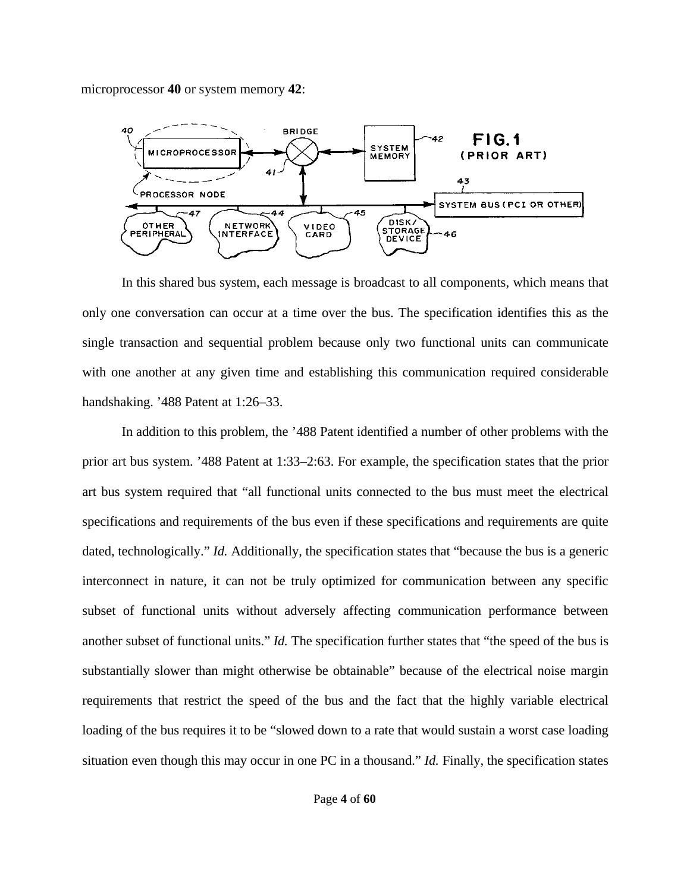microprocessor **40** or system memory **42**:



In this shared bus system, each message is broadcast to all components, which means that only one conversation can occur at a time over the bus. The specification identifies this as the single transaction and sequential problem because only two functional units can communicate with one another at any given time and establishing this communication required considerable handshaking. '488 Patent at 1:26–33.

In addition to this problem, the '488 Patent identified a number of other problems with the prior art bus system. '488 Patent at 1:33–2:63. For example, the specification states that the prior art bus system required that "all functional units connected to the bus must meet the electrical specifications and requirements of the bus even if these specifications and requirements are quite dated, technologically." *Id.* Additionally, the specification states that "because the bus is a generic interconnect in nature, it can not be truly optimized for communication between any specific subset of functional units without adversely affecting communication performance between another subset of functional units." *Id.* The specification further states that "the speed of the bus is substantially slower than might otherwise be obtainable" because of the electrical noise margin requirements that restrict the speed of the bus and the fact that the highly variable electrical loading of the bus requires it to be "slowed down to a rate that would sustain a worst case loading situation even though this may occur in one PC in a thousand." *Id.* Finally, the specification states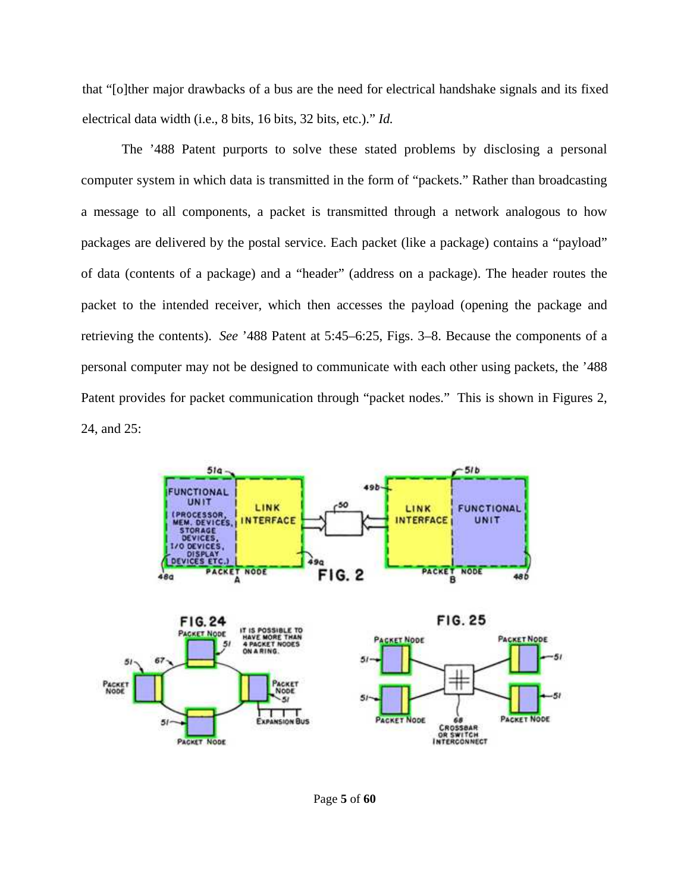that "[o]ther major drawbacks of a bus are the need for electrical handshake signals and its fixed electrical data width (i.e., 8 bits, 16 bits, 32 bits, etc.)." *Id.*

The '488 Patent purports to solve these stated problems by disclosing a personal computer system in which data is transmitted in the form of "packets." Rather than broadcasting a message to all components, a packet is transmitted through a network analogous to how packages are delivered by the postal service. Each packet (like a package) contains a "payload" of data (contents of a package) and a "header" (address on a package). The header routes the packet to the intended receiver, which then accesses the payload (opening the package and retrieving the contents). *See* '488 Patent at 5:45–6:25, Figs. 3–8. Because the components of a personal computer may not be designed to communicate with each other using packets, the '488 Patent provides for packet communication through "packet nodes." This is shown in Figures 2, 24, and 25:



Page **5** of **60**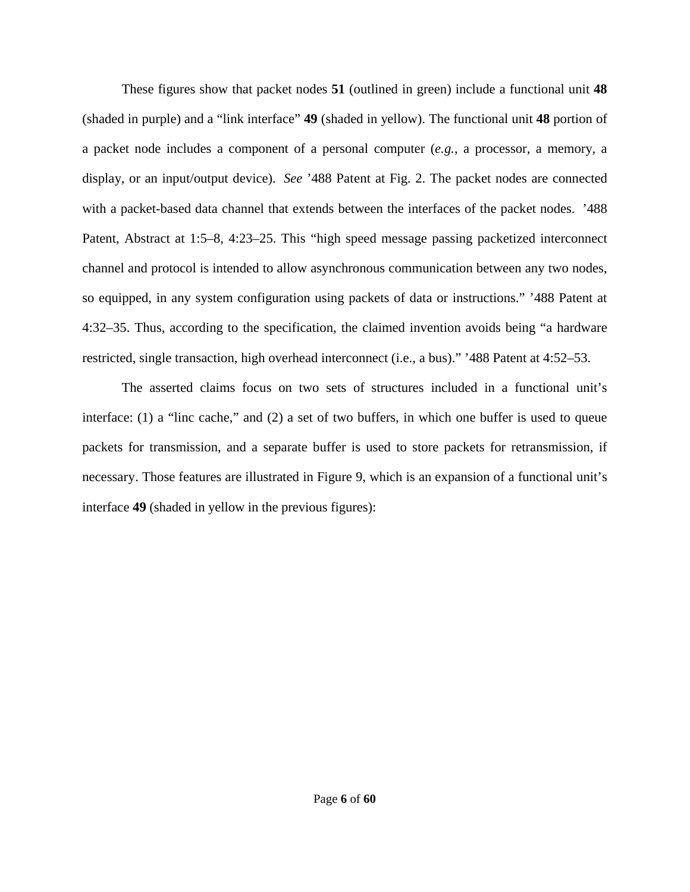These figures show that packet nodes **51** (outlined in green) include a functional unit **48**  (shaded in purple) and a "link interface" **49** (shaded in yellow). The functional unit **48** portion of a packet node includes a component of a personal computer (*e.g.*, a processor, a memory, a display, or an input/output device). *See* '488 Patent at Fig. 2. The packet nodes are connected with a packet-based data channel that extends between the interfaces of the packet nodes. '488 Patent, Abstract at 1:5–8, 4:23–25. This "high speed message passing packetized interconnect channel and protocol is intended to allow asynchronous communication between any two nodes, so equipped, in any system configuration using packets of data or instructions." '488 Patent at 4:32–35. Thus, according to the specification, the claimed invention avoids being "a hardware restricted, single transaction, high overhead interconnect (i.e., a bus)." '488 Patent at 4:52–53.

The asserted claims focus on two sets of structures included in a functional unit's interface: (1) a "linc cache," and (2) a set of two buffers, in which one buffer is used to queue packets for transmission, and a separate buffer is used to store packets for retransmission, if necessary. Those features are illustrated in Figure 9, which is an expansion of a functional unit's interface **49** (shaded in yellow in the previous figures):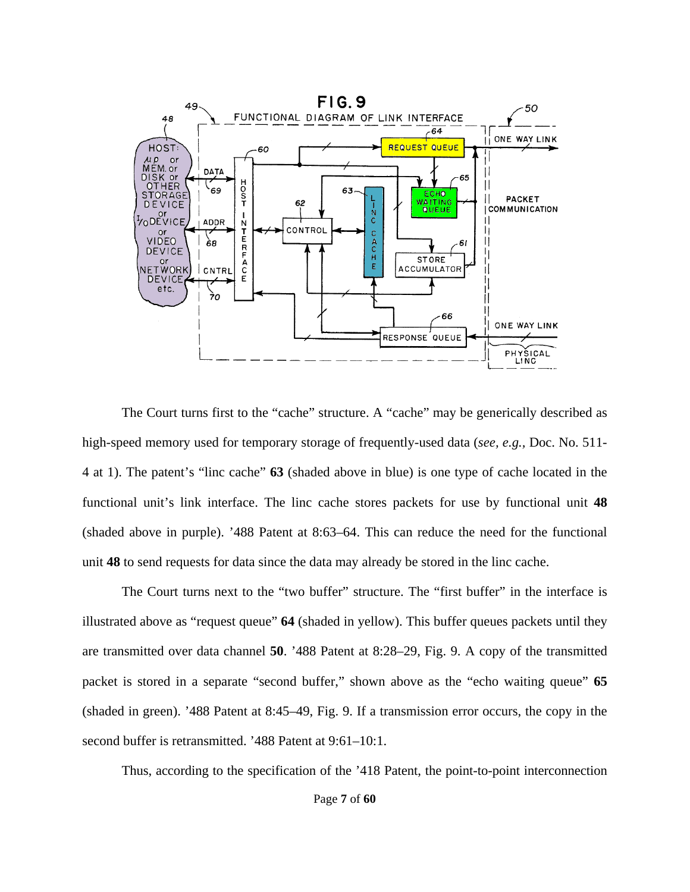

The Court turns first to the "cache" structure. A "cache" may be generically described as high-speed memory used for temporary storage of frequently-used data (*see, e.g.,* Doc. No. 511- 4 at 1). The patent's "linc cache" **63** (shaded above in blue) is one type of cache located in the functional unit's link interface. The linc cache stores packets for use by functional unit **48** (shaded above in purple). '488 Patent at 8:63–64. This can reduce the need for the functional unit **48** to send requests for data since the data may already be stored in the linc cache.

The Court turns next to the "two buffer" structure. The "first buffer" in the interface is illustrated above as "request queue" **64** (shaded in yellow). This buffer queues packets until they are transmitted over data channel **50**. '488 Patent at 8:28–29, Fig. 9. A copy of the transmitted packet is stored in a separate "second buffer," shown above as the "echo waiting queue" **65** (shaded in green). '488 Patent at 8:45–49, Fig. 9. If a transmission error occurs, the copy in the second buffer is retransmitted. '488 Patent at 9:61–10:1.

Thus, according to the specification of the '418 Patent, the point-to-point interconnection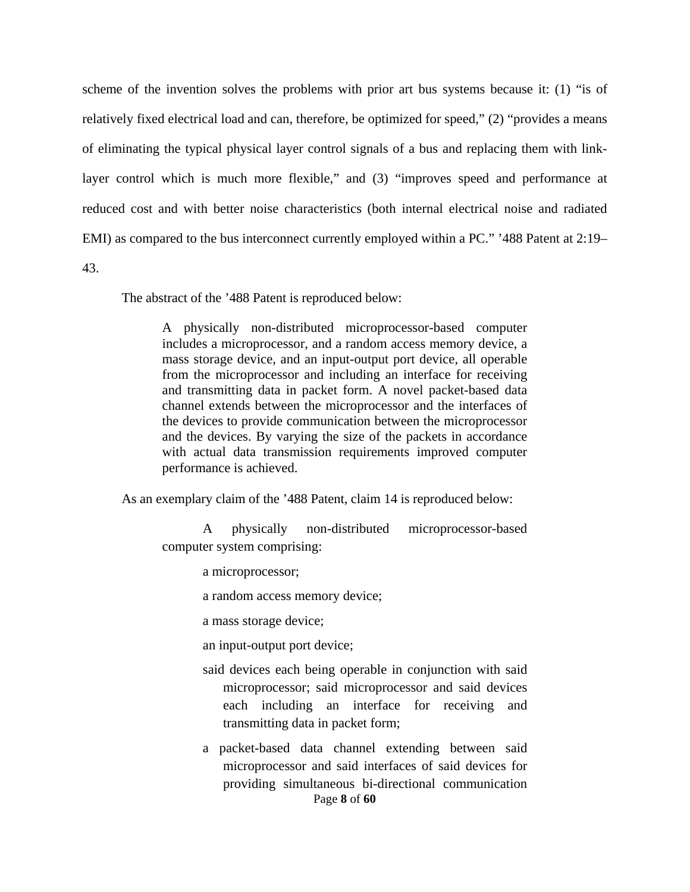scheme of the invention solves the problems with prior art bus systems because it: (1) "is of relatively fixed electrical load and can, therefore, be optimized for speed," (2) "provides a means of eliminating the typical physical layer control signals of a bus and replacing them with linklayer control which is much more flexible," and (3) "improves speed and performance at reduced cost and with better noise characteristics (both internal electrical noise and radiated EMI) as compared to the bus interconnect currently employed within a PC." '488 Patent at 2:19–

43.

The abstract of the '488 Patent is reproduced below:

A physically non-distributed microprocessor-based computer includes a microprocessor, and a random access memory device, a mass storage device, and an input-output port device, all operable from the microprocessor and including an interface for receiving and transmitting data in packet form. A novel packet-based data channel extends between the microprocessor and the interfaces of the devices to provide communication between the microprocessor and the devices. By varying the size of the packets in accordance with actual data transmission requirements improved computer performance is achieved.

As an exemplary claim of the '488 Patent, claim 14 is reproduced below:

A physically non-distributed microprocessor-based computer system comprising:

a microprocessor;

a random access memory device;

a mass storage device;

an input-output port device;

- said devices each being operable in conjunction with said microprocessor; said microprocessor and said devices each including an interface for receiving and transmitting data in packet form;
- Page **8** of **60** a packet-based data channel extending between said microprocessor and said interfaces of said devices for providing simultaneous bi-directional communication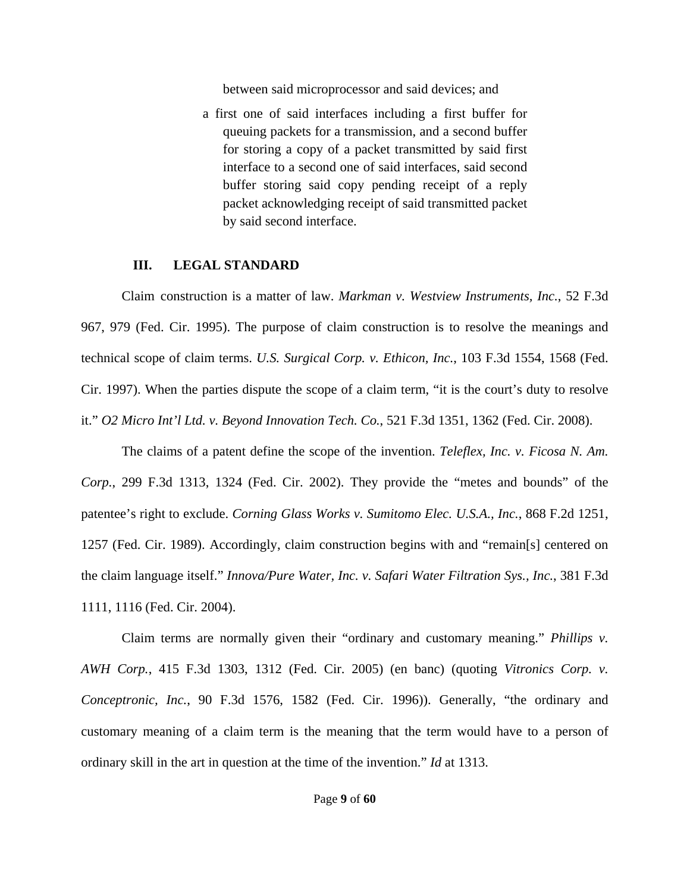between said microprocessor and said devices; and

a first one of said interfaces including a first buffer for queuing packets for a transmission, and a second buffer for storing a copy of a packet transmitted by said first interface to a second one of said interfaces, said second buffer storing said copy pending receipt of a reply packet acknowledging receipt of said transmitted packet by said second interface.

#### **III. LEGAL STANDARD**

Claim construction is a matter of law. *Markman v. Westview Instruments, Inc.*, 52 F.3d 967, 979 (Fed. Cir. 1995). The purpose of claim construction is to resolve the meanings and technical scope of claim terms. *U.S. Surgical Corp. v. Ethicon, Inc.*, 103 F.3d 1554, 1568 (Fed. Cir. 1997). When the parties dispute the scope of a claim term, "it is the court's duty to resolve it." *O2 Micro Int'l Ltd. v. Beyond Innovation Tech. Co.*, 521 F.3d 1351, 1362 (Fed. Cir. 2008).

The claims of a patent define the scope of the invention. *Teleflex, Inc. v. Ficosa N. Am. Corp.*, 299 F.3d 1313, 1324 (Fed. Cir. 2002). They provide the "metes and bounds" of the patentee's right to exclude. *Corning Glass Works v. Sumitomo Elec. U.S.A., Inc.*, 868 F.2d 1251, 1257 (Fed. Cir. 1989). Accordingly, claim construction begins with and "remain[s] centered on the claim language itself." *Innova/Pure Water, Inc. v. Safari Water Filtration Sys., Inc.*, 381 F.3d 1111, 1116 (Fed. Cir. 2004).

Claim terms are normally given their "ordinary and customary meaning." *Phillips v. AWH Corp.*, 415 F.3d 1303, 1312 (Fed. Cir. 2005) (en banc) (quoting *Vitronics Corp. v. Conceptronic, Inc.*, 90 F.3d 1576, 1582 (Fed. Cir. 1996)). Generally, "the ordinary and customary meaning of a claim term is the meaning that the term would have to a person of ordinary skill in the art in question at the time of the invention." *Id* at 1313.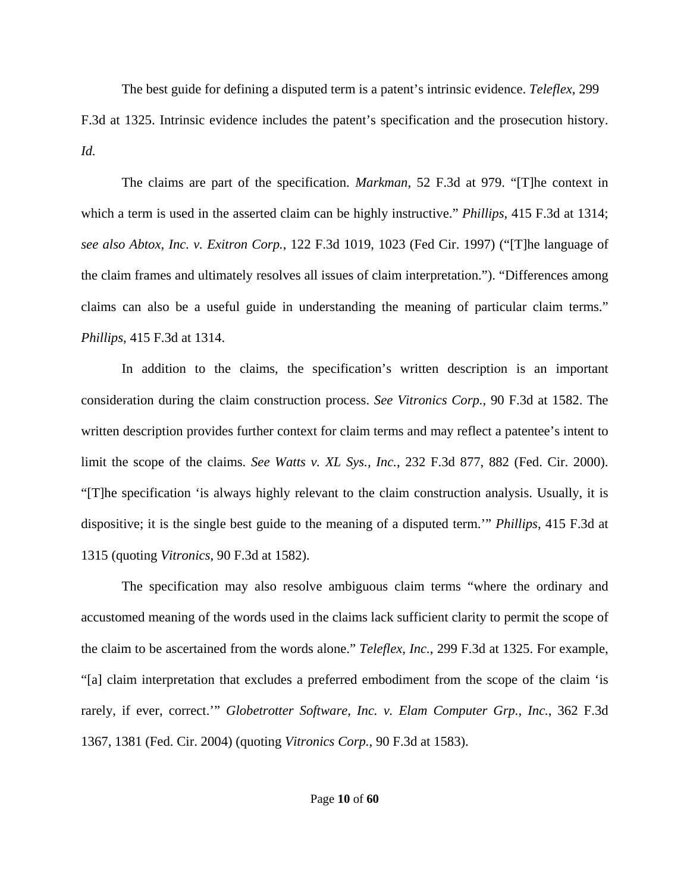The best guide for defining a disputed term is a patent's intrinsic evidence. *Teleflex*, 299 F.3d at 1325. Intrinsic evidence includes the patent's specification and the prosecution history. *Id.* 

The claims are part of the specification. *Markman*, 52 F.3d at 979. "[T]he context in which a term is used in the asserted claim can be highly instructive." *Phillips*, 415 F.3d at 1314; *see also Abtox, Inc. v. Exitron Corp.*, 122 F.3d 1019, 1023 (Fed Cir. 1997) ("[T]he language of the claim frames and ultimately resolves all issues of claim interpretation."). "Differences among claims can also be a useful guide in understanding the meaning of particular claim terms." *Phillips*, 415 F.3d at 1314.

In addition to the claims, the specification's written description is an important consideration during the claim construction process. *See Vitronics Corp.*, 90 F.3d at 1582. The written description provides further context for claim terms and may reflect a patentee's intent to limit the scope of the claims. *See Watts v. XL Sys., Inc.*, 232 F.3d 877, 882 (Fed. Cir. 2000). "[T]he specification 'is always highly relevant to the claim construction analysis. Usually, it is dispositive; it is the single best guide to the meaning of a disputed term.'" *Phillips*, 415 F.3d at 1315 (quoting *Vitronics*, 90 F.3d at 1582).

The specification may also resolve ambiguous claim terms "where the ordinary and accustomed meaning of the words used in the claims lack sufficient clarity to permit the scope of the claim to be ascertained from the words alone." *Teleflex, Inc.*, 299 F.3d at 1325. For example, "[a] claim interpretation that excludes a preferred embodiment from the scope of the claim 'is rarely, if ever, correct.'" *Globetrotter Software, Inc. v. Elam Computer Grp., Inc.*, 362 F.3d 1367, 1381 (Fed. Cir. 2004) (quoting *Vitronics Corp.*, 90 F.3d at 1583).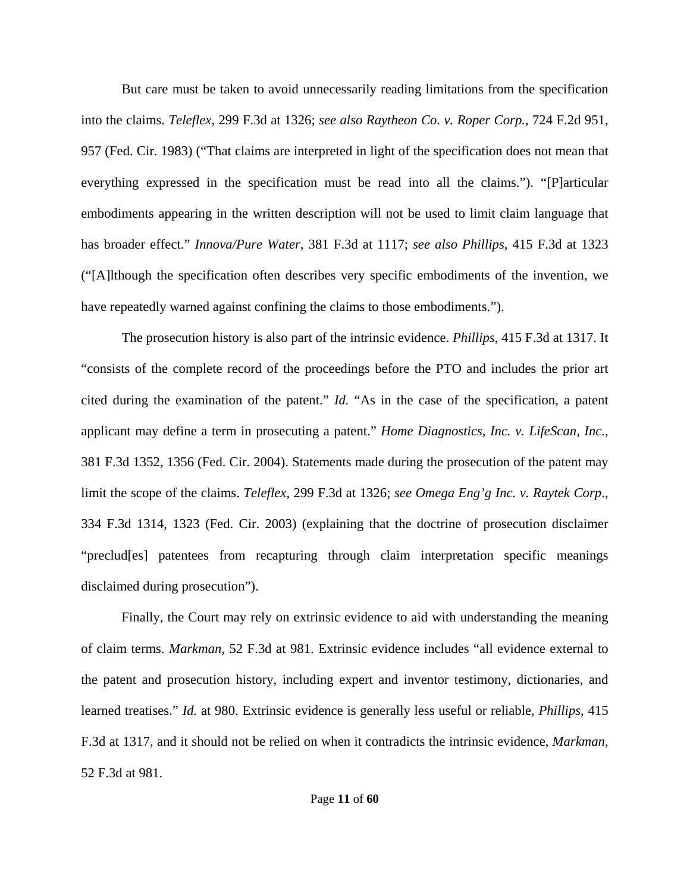But care must be taken to avoid unnecessarily reading limitations from the specification into the claims. *Teleflex*, 299 F.3d at 1326; *see also Raytheon Co. v. Roper Corp.*, 724 F.2d 951, 957 (Fed. Cir. 1983) ("That claims are interpreted in light of the specification does not mean that everything expressed in the specification must be read into all the claims."). "[P]articular embodiments appearing in the written description will not be used to limit claim language that has broader effect." *Innova/Pure Water*, 381 F.3d at 1117; *see also Phillips*, 415 F.3d at 1323 ("[A]lthough the specification often describes very specific embodiments of the invention, we have repeatedly warned against confining the claims to those embodiments.").

The prosecution history is also part of the intrinsic evidence. *Phillips*, 415 F.3d at 1317. It "consists of the complete record of the proceedings before the PTO and includes the prior art cited during the examination of the patent." *Id.* "As in the case of the specification, a patent applicant may define a term in prosecuting a patent." *Home Diagnostics, Inc. v. LifeScan, Inc.*, 381 F.3d 1352, 1356 (Fed. Cir. 2004). Statements made during the prosecution of the patent may limit the scope of the claims. *Teleflex,* 299 F.3d at 1326; *see Omega Eng'g Inc. v. Raytek Corp*., 334 F.3d 1314, 1323 (Fed. Cir. 2003) (explaining that the doctrine of prosecution disclaimer "preclud[es] patentees from recapturing through claim interpretation specific meanings disclaimed during prosecution").

Finally, the Court may rely on extrinsic evidence to aid with understanding the meaning of claim terms. *Markman*, 52 F.3d at 981. Extrinsic evidence includes "all evidence external to the patent and prosecution history, including expert and inventor testimony, dictionaries, and learned treatises." *Id.* at 980. Extrinsic evidence is generally less useful or reliable, *Phillips*, 415 F.3d at 1317, and it should not be relied on when it contradicts the intrinsic evidence, *Markman*, 52 F.3d at 981.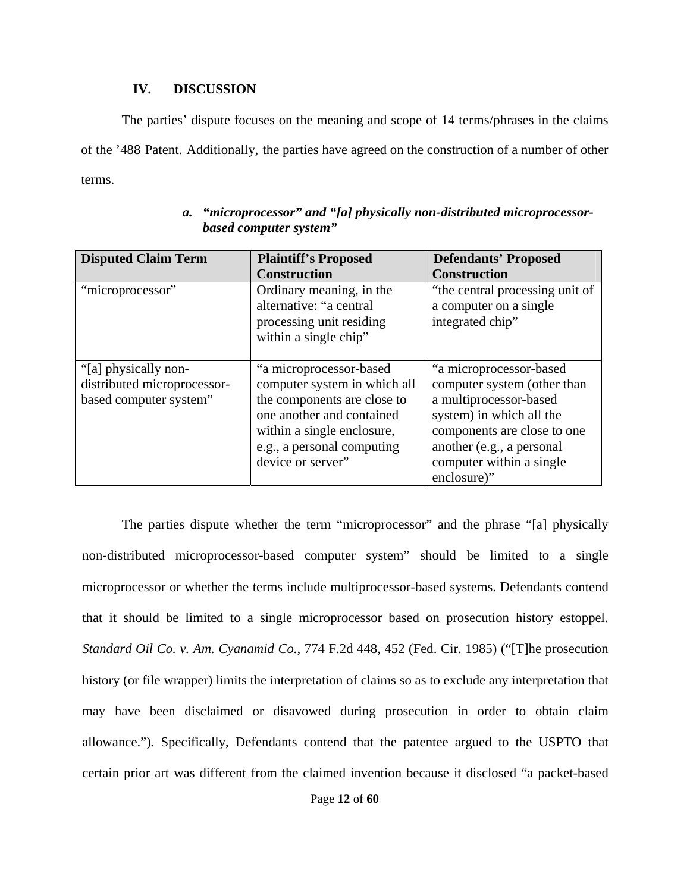## **IV. DISCUSSION**

The parties' dispute focuses on the meaning and scope of 14 terms/phrases in the claims of the '488 Patent. Additionally, the parties have agreed on the construction of a number of other terms.

| <b>Disputed Claim Term</b>                                                    | <b>Plaintiff's Proposed</b><br><b>Construction</b>                                                                                                                                                   | <b>Defendants' Proposed</b><br><b>Construction</b>                                                                                                                                                                  |
|-------------------------------------------------------------------------------|------------------------------------------------------------------------------------------------------------------------------------------------------------------------------------------------------|---------------------------------------------------------------------------------------------------------------------------------------------------------------------------------------------------------------------|
| "microprocessor"                                                              | Ordinary meaning, in the<br>alternative: "a central<br>processing unit residing<br>within a single chip"                                                                                             | "the central processing unit of<br>a computer on a single<br>integrated chip"                                                                                                                                       |
| "[a] physically non-<br>distributed microprocessor-<br>based computer system" | "a microprocessor-based<br>computer system in which all<br>the components are close to<br>one another and contained<br>within a single enclosure,<br>e.g., a personal computing<br>device or server" | "a microprocessor-based<br>computer system (other than<br>a multiprocessor-based<br>system) in which all the<br>components are close to one<br>another (e.g., a personal<br>computer within a single<br>enclosure)" |

# *a. "microprocessor" and "[a] physically non-distributed microprocessorbased computer system"*

The parties dispute whether the term "microprocessor" and the phrase "[a] physically non-distributed microprocessor-based computer system" should be limited to a single microprocessor or whether the terms include multiprocessor-based systems. Defendants contend that it should be limited to a single microprocessor based on prosecution history estoppel. *Standard Oil Co. v. Am. Cyanamid Co.*, 774 F.2d 448, 452 (Fed. Cir. 1985) ("[T]he prosecution history (or file wrapper) limits the interpretation of claims so as to exclude any interpretation that may have been disclaimed or disavowed during prosecution in order to obtain claim allowance.")*.* Specifically, Defendants contend that the patentee argued to the USPTO that certain prior art was different from the claimed invention because it disclosed "a packet-based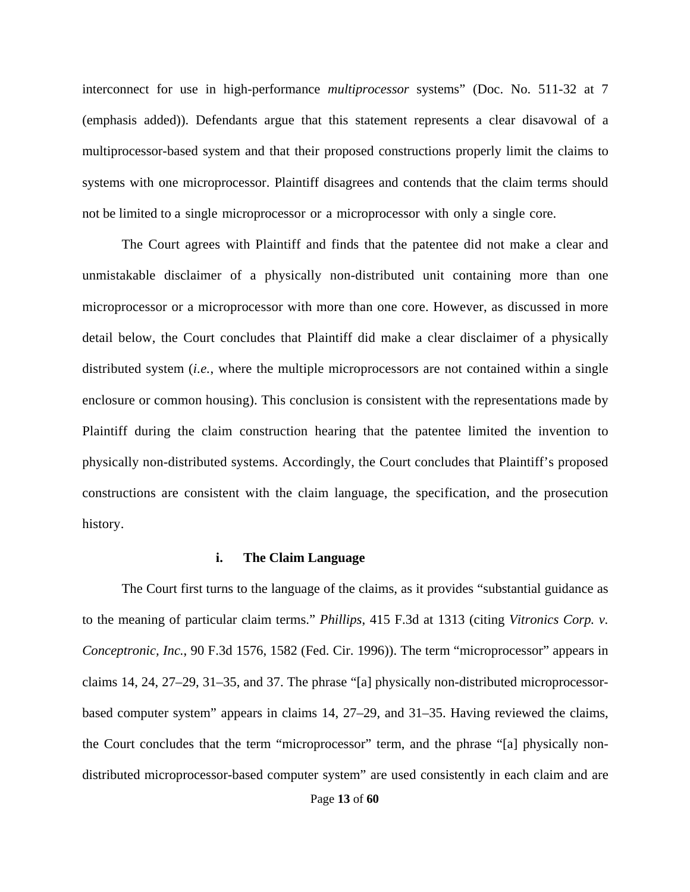interconnect for use in high-performance *multiprocessor* systems" (Doc. No. 511-32 at 7 (emphasis added)). Defendants argue that this statement represents a clear disavowal of a multiprocessor-based system and that their proposed constructions properly limit the claims to systems with one microprocessor. Plaintiff disagrees and contends that the claim terms should not be limited to a single microprocessor or a microprocessor with only a single core.

The Court agrees with Plaintiff and finds that the patentee did not make a clear and unmistakable disclaimer of a physically non-distributed unit containing more than one microprocessor or a microprocessor with more than one core. However, as discussed in more detail below, the Court concludes that Plaintiff did make a clear disclaimer of a physically distributed system (*i.e.*, where the multiple microprocessors are not contained within a single enclosure or common housing). This conclusion is consistent with the representations made by Plaintiff during the claim construction hearing that the patentee limited the invention to physically non-distributed systems. Accordingly, the Court concludes that Plaintiff's proposed constructions are consistent with the claim language, the specification, and the prosecution history.

#### **i. The Claim Language**

Page **13** of **60** The Court first turns to the language of the claims, as it provides "substantial guidance as to the meaning of particular claim terms." *Phillips*, 415 F.3d at 1313 (citing *Vitronics Corp. v. Conceptronic, Inc.*, 90 F.3d 1576, 1582 (Fed. Cir. 1996)). The term "microprocessor" appears in claims 14, 24, 27–29, 31–35, and 37. The phrase "[a] physically non-distributed microprocessorbased computer system" appears in claims 14, 27–29, and 31–35. Having reviewed the claims, the Court concludes that the term "microprocessor" term, and the phrase "[a] physically nondistributed microprocessor-based computer system" are used consistently in each claim and are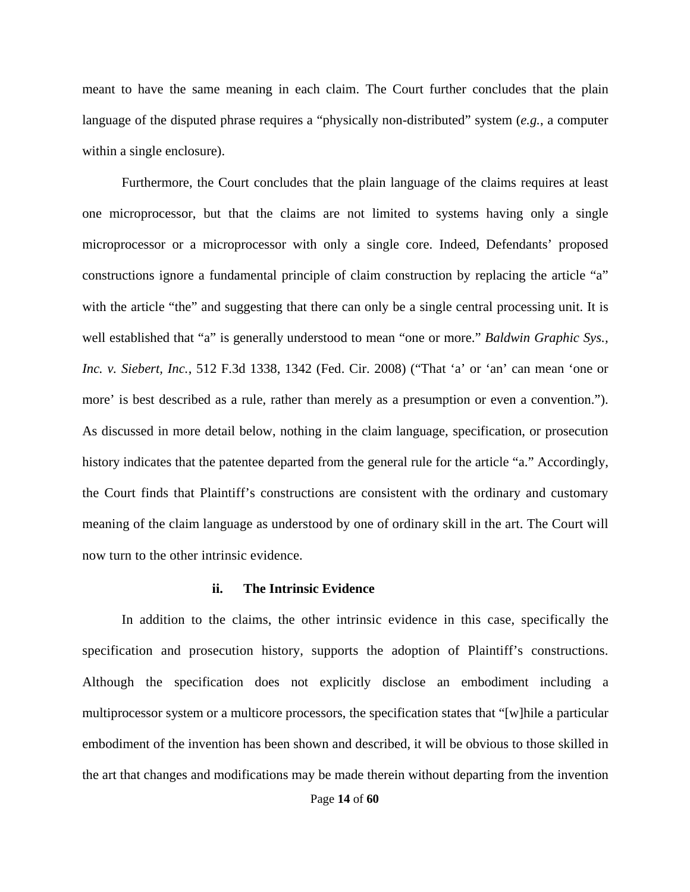meant to have the same meaning in each claim. The Court further concludes that the plain language of the disputed phrase requires a "physically non-distributed" system (*e.g.*, a computer within a single enclosure).

Furthermore, the Court concludes that the plain language of the claims requires at least one microprocessor, but that the claims are not limited to systems having only a single microprocessor or a microprocessor with only a single core. Indeed, Defendants' proposed constructions ignore a fundamental principle of claim construction by replacing the article "a" with the article "the" and suggesting that there can only be a single central processing unit. It is well established that "a" is generally understood to mean "one or more." *Baldwin Graphic Sys., Inc. v. Siebert, Inc.*, 512 F.3d 1338, 1342 (Fed. Cir. 2008) ("That 'a' or 'an' can mean 'one or more' is best described as a rule, rather than merely as a presumption or even a convention."). As discussed in more detail below, nothing in the claim language, specification, or prosecution history indicates that the patentee departed from the general rule for the article "a." Accordingly, the Court finds that Plaintiff's constructions are consistent with the ordinary and customary meaning of the claim language as understood by one of ordinary skill in the art. The Court will now turn to the other intrinsic evidence.

## **ii. The Intrinsic Evidence**

In addition to the claims, the other intrinsic evidence in this case, specifically the specification and prosecution history, supports the adoption of Plaintiff's constructions. Although the specification does not explicitly disclose an embodiment including a multiprocessor system or a multicore processors, the specification states that "[w]hile a particular embodiment of the invention has been shown and described, it will be obvious to those skilled in the art that changes and modifications may be made therein without departing from the invention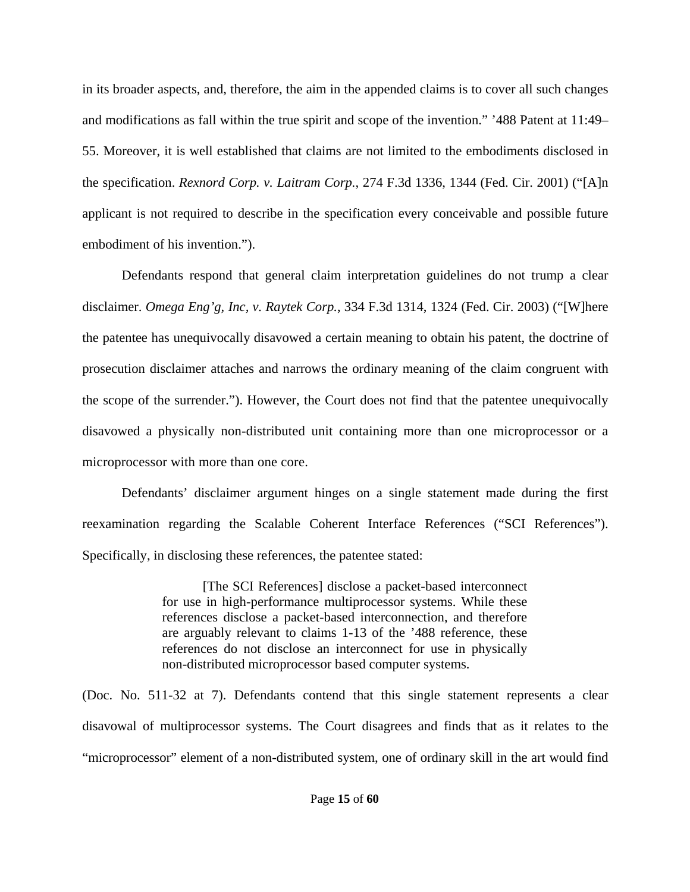in its broader aspects, and, therefore, the aim in the appended claims is to cover all such changes and modifications as fall within the true spirit and scope of the invention." '488 Patent at 11:49– 55. Moreover, it is well established that claims are not limited to the embodiments disclosed in the specification. *Rexnord Corp. v. Laitram Corp.*, 274 F.3d 1336, 1344 (Fed. Cir. 2001) ("[A]n applicant is not required to describe in the specification every conceivable and possible future embodiment of his invention.").

Defendants respond that general claim interpretation guidelines do not trump a clear disclaimer. *Omega Eng'g, Inc, v. Raytek Corp.*, 334 F.3d 1314, 1324 (Fed. Cir. 2003) ("[W]here the patentee has unequivocally disavowed a certain meaning to obtain his patent, the doctrine of prosecution disclaimer attaches and narrows the ordinary meaning of the claim congruent with the scope of the surrender."). However, the Court does not find that the patentee unequivocally disavowed a physically non-distributed unit containing more than one microprocessor or a microprocessor with more than one core.

Defendants' disclaimer argument hinges on a single statement made during the first reexamination regarding the Scalable Coherent Interface References ("SCI References"). Specifically, in disclosing these references, the patentee stated:

> [The SCI References] disclose a packet-based interconnect for use in high-performance multiprocessor systems. While these references disclose a packet-based interconnection, and therefore are arguably relevant to claims 1-13 of the '488 reference, these references do not disclose an interconnect for use in physically non-distributed microprocessor based computer systems.

(Doc. No. 511-32 at 7). Defendants contend that this single statement represents a clear disavowal of multiprocessor systems. The Court disagrees and finds that as it relates to the "microprocessor" element of a non-distributed system, one of ordinary skill in the art would find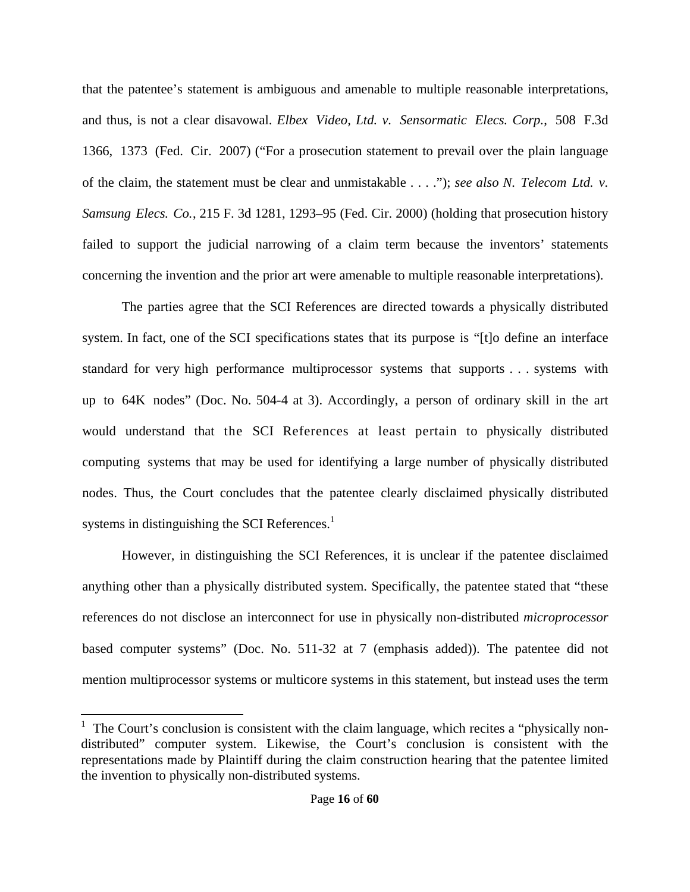that the patentee's statement is ambiguous and amenable to multiple reasonable interpretations, and thus, is not a clear disavowal. *Elbex Video, Ltd. v. Sensormatic Elecs. Corp.*, 508 F.3d 1366, 1373 (Fed. Cir. 2007) ("For a prosecution statement to prevail over the plain language of the claim, the statement must be clear and unmistakable . . . ."); *see also N. Telecom Ltd. v. Samsung Elecs. Co.*, 215 F. 3d 1281, 1293–95 (Fed. Cir. 2000) (holding that prosecution history failed to support the judicial narrowing of a claim term because the inventors' statements concerning the invention and the prior art were amenable to multiple reasonable interpretations).

The parties agree that the SCI References are directed towards a physically distributed system. In fact, one of the SCI specifications states that its purpose is "[t]o define an interface standard for very high performance multiprocessor systems that supports . . . systems with up to 64K nodes" (Doc. No. 504-4 at 3). Accordingly, a person of ordinary skill in the art would understand that the SCI References at least pertain to physically distributed computing systems that may be used for identifying a large number of physically distributed nodes. Thus, the Court concludes that the patentee clearly disclaimed physically distributed systems in distinguishing the SCI References. $<sup>1</sup>$ </sup>

However, in distinguishing the SCI References, it is unclear if the patentee disclaimed anything other than a physically distributed system. Specifically, the patentee stated that "these references do not disclose an interconnect for use in physically non-distributed *microprocessor* based computer systems" (Doc. No. 511-32 at 7 (emphasis added)). The patentee did not mention multiprocessor systems or multicore systems in this statement, but instead uses the term

 $<sup>1</sup>$  The Court's conclusion is consistent with the claim language, which recites a "physically non-</sup> distributed" computer system. Likewise, the Court's conclusion is consistent with the representations made by Plaintiff during the claim construction hearing that the patentee limited the invention to physically non-distributed systems.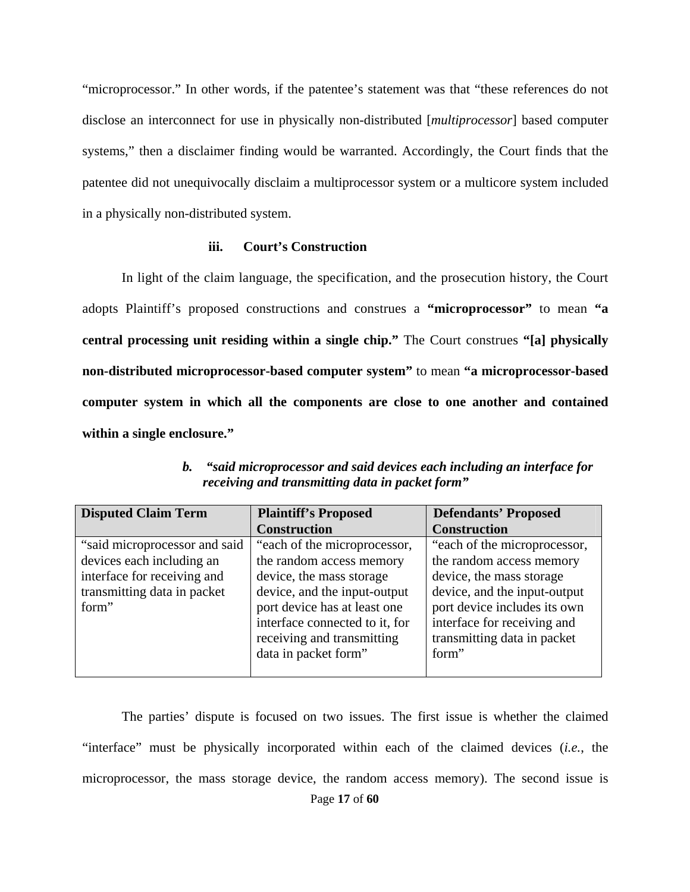"microprocessor." In other words, if the patentee's statement was that "these references do not disclose an interconnect for use in physically non-distributed [*multiprocessor*] based computer systems," then a disclaimer finding would be warranted. Accordingly, the Court finds that the patentee did not unequivocally disclaim a multiprocessor system or a multicore system included in a physically non-distributed system.

### **iii. Court's Construction**

In light of the claim language, the specification, and the prosecution history, the Court adopts Plaintiff's proposed constructions and construes a **"microprocessor"** to mean **"a central processing unit residing within a single chip."** The Court construes **"[a] physically non-distributed microprocessor-based computer system"** to mean **"a microprocessor-based computer system in which all the components are close to one another and contained within a single enclosure."**

| <b>Disputed Claim Term</b>    | <b>Plaintiff's Proposed</b>    | <b>Defendants' Proposed</b>  |
|-------------------------------|--------------------------------|------------------------------|
|                               | <b>Construction</b>            | <b>Construction</b>          |
| "said microprocessor and said | "each of the microprocessor,   | "each of the microprocessor, |
| devices each including an     | the random access memory       | the random access memory     |
| interface for receiving and   | device, the mass storage       | device, the mass storage     |
| transmitting data in packet   | device, and the input-output   | device, and the input-output |
| form"                         | port device has at least one   | port device includes its own |
|                               | interface connected to it, for | interface for receiving and  |
|                               | receiving and transmitting     | transmitting data in packet  |
|                               | data in packet form"           | form"                        |
|                               |                                |                              |

*b. "said microprocessor and said devices each including an interface for receiving and transmitting data in packet form"* 

Page **17** of **60** The parties' dispute is focused on two issues. The first issue is whether the claimed "interface" must be physically incorporated within each of the claimed devices (*i.e.*, the microprocessor, the mass storage device, the random access memory). The second issue is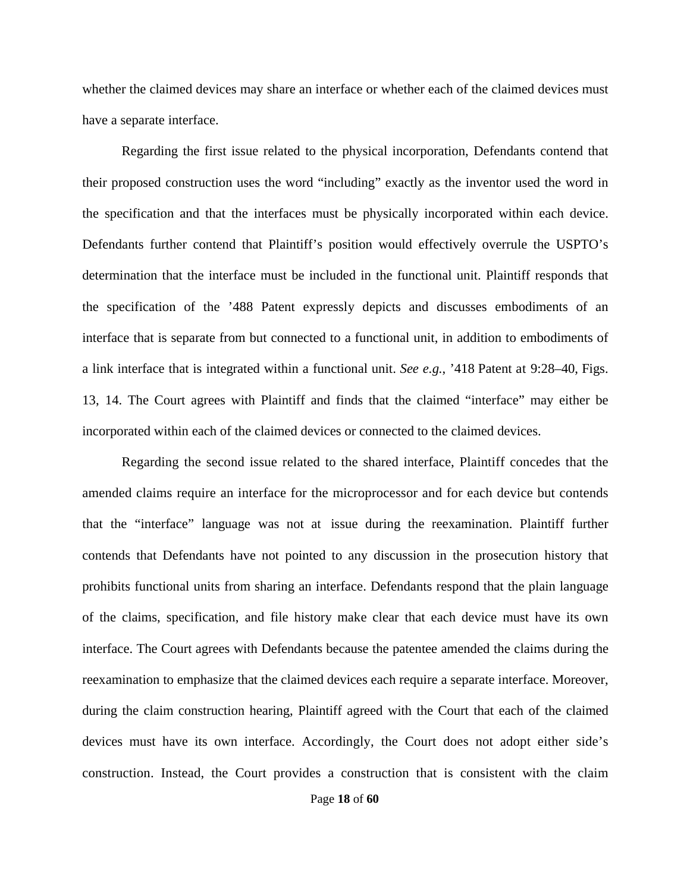whether the claimed devices may share an interface or whether each of the claimed devices must have a separate interface.

Regarding the first issue related to the physical incorporation, Defendants contend that their proposed construction uses the word "including" exactly as the inventor used the word in the specification and that the interfaces must be physically incorporated within each device. Defendants further contend that Plaintiff's position would effectively overrule the USPTO's determination that the interface must be included in the functional unit. Plaintiff responds that the specification of the '488 Patent expressly depicts and discusses embodiments of an interface that is separate from but connected to a functional unit, in addition to embodiments of a link interface that is integrated within a functional unit. *See e.g.*, '418 Patent at 9:28–40, Figs. 13, 14. The Court agrees with Plaintiff and finds that the claimed "interface" may either be incorporated within each of the claimed devices or connected to the claimed devices.

Regarding the second issue related to the shared interface, Plaintiff concedes that the amended claims require an interface for the microprocessor and for each device but contends that the "interface" language was not at issue during the reexamination. Plaintiff further contends that Defendants have not pointed to any discussion in the prosecution history that prohibits functional units from sharing an interface. Defendants respond that the plain language of the claims, specification, and file history make clear that each device must have its own interface. The Court agrees with Defendants because the patentee amended the claims during the reexamination to emphasize that the claimed devices each require a separate interface. Moreover, during the claim construction hearing, Plaintiff agreed with the Court that each of the claimed devices must have its own interface. Accordingly, the Court does not adopt either side's construction. Instead, the Court provides a construction that is consistent with the claim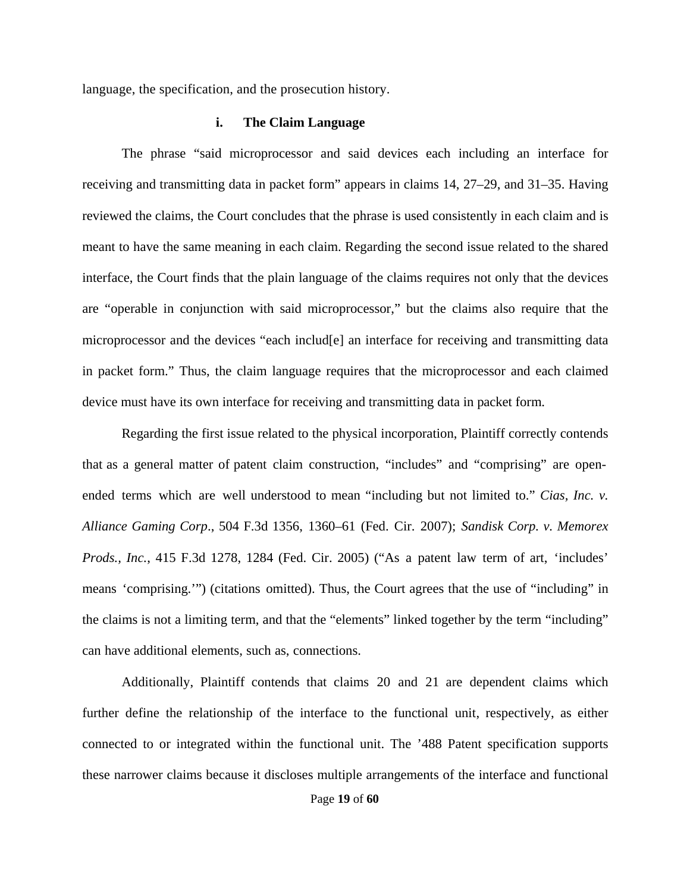language, the specification, and the prosecution history.

#### **i. The Claim Language**

The phrase "said microprocessor and said devices each including an interface for receiving and transmitting data in packet form" appears in claims 14, 27–29, and 31–35. Having reviewed the claims, the Court concludes that the phrase is used consistently in each claim and is meant to have the same meaning in each claim. Regarding the second issue related to the shared interface, the Court finds that the plain language of the claims requires not only that the devices are "operable in conjunction with said microprocessor," but the claims also require that the microprocessor and the devices "each includ[e] an interface for receiving and transmitting data in packet form." Thus, the claim language requires that the microprocessor and each claimed device must have its own interface for receiving and transmitting data in packet form.

Regarding the first issue related to the physical incorporation, Plaintiff correctly contends that as a general matter of patent claim construction, "includes" and "comprising" are openended terms which are well understood to mean "including but not limited to." *Cias, Inc. v. Alliance Gaming Corp*., 504 F.3d 1356, 1360–61 (Fed. Cir. 2007); *Sandisk Corp. v. Memorex Prods., Inc.*, 415 F.3d 1278, 1284 (Fed. Cir. 2005) ("As a patent law term of art, 'includes' means 'comprising.'") (citations omitted). Thus, the Court agrees that the use of "including" in the claims is not a limiting term, and that the "elements" linked together by the term "including" can have additional elements, such as, connections.

Additionally, Plaintiff contends that claims 20 and 21 are dependent claims which further define the relationship of the interface to the functional unit, respectively, as either connected to or integrated within the functional unit. The '488 Patent specification supports these narrower claims because it discloses multiple arrangements of the interface and functional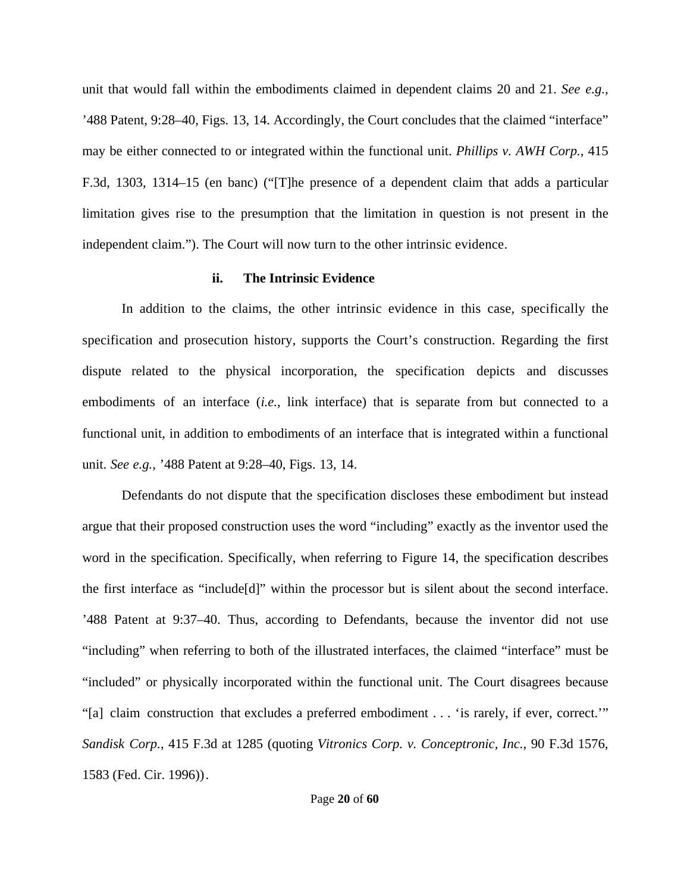unit that would fall within the embodiments claimed in dependent claims 20 and 21. *See e.g.*, '488 Patent, 9:28–40, Figs. 13, 14. Accordingly, the Court concludes that the claimed "interface" may be either connected to or integrated within the functional unit. *Phillips v. AWH Corp.*, 415 F.3d, 1303, 1314–15 (en banc) ("[T]he presence of a dependent claim that adds a particular limitation gives rise to the presumption that the limitation in question is not present in the independent claim."). The Court will now turn to the other intrinsic evidence.

## **ii. The Intrinsic Evidence**

In addition to the claims, the other intrinsic evidence in this case, specifically the specification and prosecution history, supports the Court's construction. Regarding the first dispute related to the physical incorporation, the specification depicts and discusses embodiments of an interface (*i.e.*, link interface) that is separate from but connected to a functional unit, in addition to embodiments of an interface that is integrated within a functional unit. *See e.g.*, '488 Patent at 9:28–40, Figs. 13, 14.

Defendants do not dispute that the specification discloses these embodiment but instead argue that their proposed construction uses the word "including" exactly as the inventor used the word in the specification. Specifically, when referring to Figure 14, the specification describes the first interface as "include[d]" within the processor but is silent about the second interface. '488 Patent at 9:37–40. Thus, according to Defendants, because the inventor did not use "including" when referring to both of the illustrated interfaces, the claimed "interface" must be "included" or physically incorporated within the functional unit. The Court disagrees because "[a] claim construction that excludes a preferred embodiment . . . 'is rarely, if ever, correct.'" *Sandisk Corp.*, 415 F.3d at 1285 (quoting *Vitronics Corp. v. Conceptronic, Inc.*, 90 F.3d 1576, 1583 (Fed. Cir. 1996)).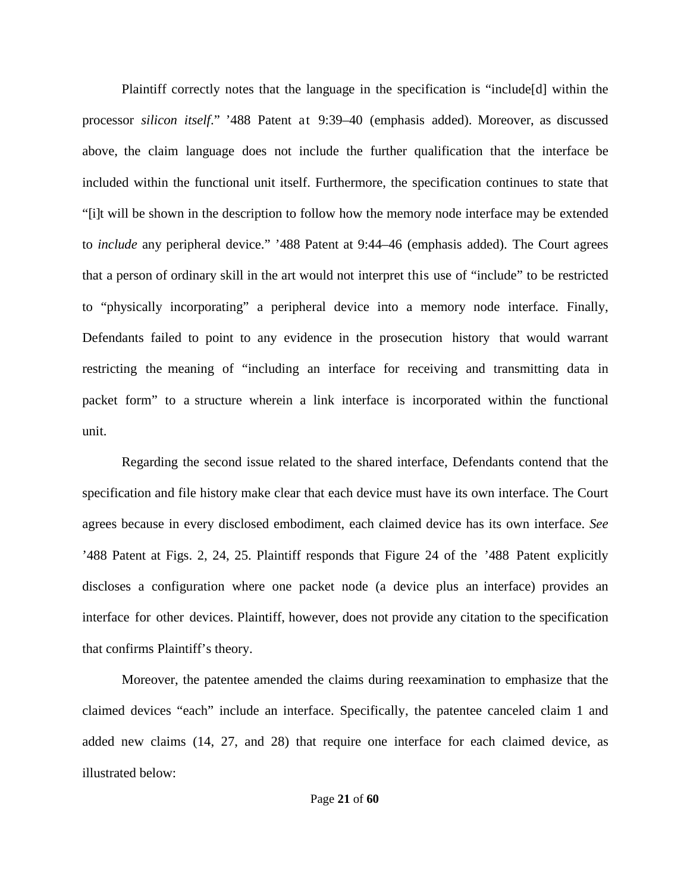Plaintiff correctly notes that the language in the specification is "include[d] within the processor *silicon itself*." '488 Patent at 9:39–40 (emphasis added). Moreover, as discussed above, the claim language does not include the further qualification that the interface be included within the functional unit itself. Furthermore, the specification continues to state that "[i]t will be shown in the description to follow how the memory node interface may be extended to *include* any peripheral device." '488 Patent at 9:44–46 (emphasis added). The Court agrees that a person of ordinary skill in the art would not interpret this use of "include" to be restricted to "physically incorporating" a peripheral device into a memory node interface. Finally, Defendants failed to point to any evidence in the prosecution history that would warrant restricting the meaning of "including an interface for receiving and transmitting data in packet form" to a structure wherein a link interface is incorporated within the functional unit.

Regarding the second issue related to the shared interface, Defendants contend that the specification and file history make clear that each device must have its own interface. The Court agrees because in every disclosed embodiment, each claimed device has its own interface. *See*  '488 Patent at Figs. 2, 24, 25. Plaintiff responds that Figure 24 of the '488 Patent explicitly discloses a configuration where one packet node (a device plus an interface) provides an interface for other devices. Plaintiff, however, does not provide any citation to the specification that confirms Plaintiff's theory.

Moreover, the patentee amended the claims during reexamination to emphasize that the claimed devices "each" include an interface. Specifically, the patentee canceled claim 1 and added new claims (14, 27, and 28) that require one interface for each claimed device, as illustrated below: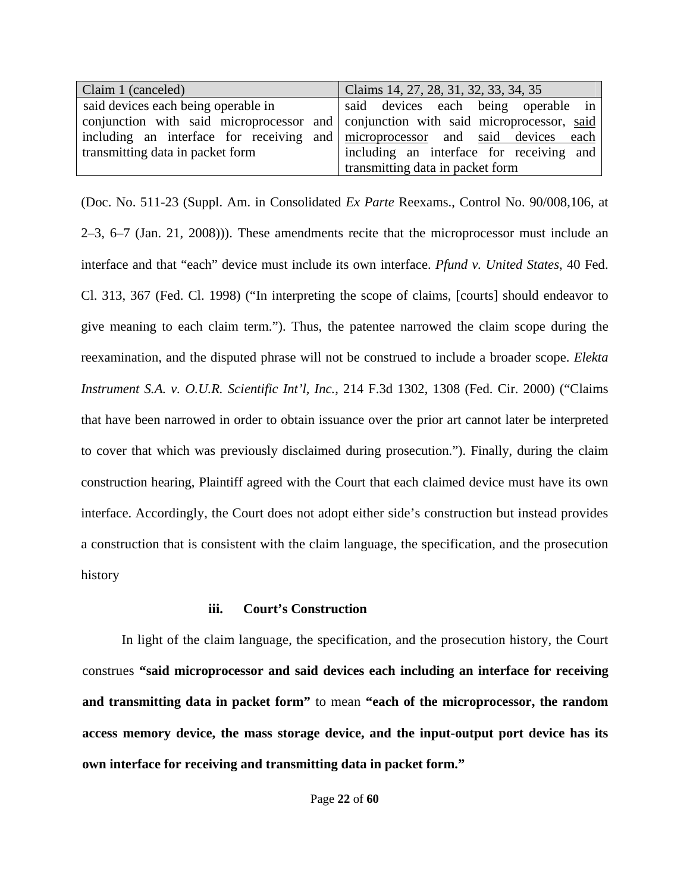| Claim 1 (canceled)                  | Claims 14, 27, 28, 31, 32, 33, 34, 35                                               |  |  |
|-------------------------------------|-------------------------------------------------------------------------------------|--|--|
| said devices each being operable in | said devices each being operable in                                                 |  |  |
|                                     | conjunction with said microprocessor and conjunction with said microprocessor, said |  |  |
|                                     | including an interface for receiving and microprocessor and said devices each       |  |  |
| transmitting data in packet form    | including an interface for receiving and                                            |  |  |
|                                     | transmitting data in packet form                                                    |  |  |

(Doc. No. 511-23 (Suppl. Am. in Consolidated *Ex Parte* Reexams., Control No. 90/008,106, at 2–3, 6–7 (Jan. 21, 2008))). These amendments recite that the microprocessor must include an interface and that "each" device must include its own interface. *Pfund v. United States*, 40 Fed. Cl. 313, 367 (Fed. Cl. 1998) ("In interpreting the scope of claims, [courts] should endeavor to give meaning to each claim term."). Thus, the patentee narrowed the claim scope during the reexamination, and the disputed phrase will not be construed to include a broader scope. *Elekta Instrument S.A. v. O.U.R. Scientific Int'l, Inc.*, 214 F.3d 1302, 1308 (Fed. Cir. 2000) ("Claims that have been narrowed in order to obtain issuance over the prior art cannot later be interpreted to cover that which was previously disclaimed during prosecution."). Finally, during the claim construction hearing, Plaintiff agreed with the Court that each claimed device must have its own interface. Accordingly, the Court does not adopt either side's construction but instead provides a construction that is consistent with the claim language, the specification, and the prosecution history

# **iii. Court's Construction**

In light of the claim language, the specification, and the prosecution history, the Court construes **"said microprocessor and said devices each including an interface for receiving and transmitting data in packet form"** to mean **"each of the microprocessor, the random access memory device, the mass storage device, and the input-output port device has its own interface for receiving and transmitting data in packet form."**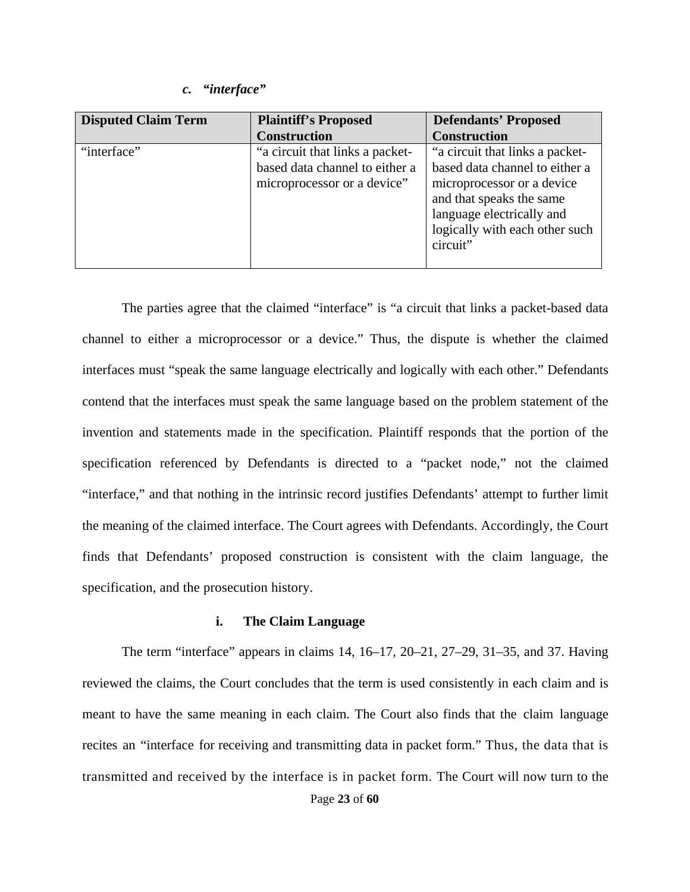#### *c. "interface"*

| <b>Disputed Claim Term</b> | <b>Plaintiff's Proposed</b>                                                                      | <b>Defendants' Proposed</b>                                                                                                                                                                            |
|----------------------------|--------------------------------------------------------------------------------------------------|--------------------------------------------------------------------------------------------------------------------------------------------------------------------------------------------------------|
|                            | <b>Construction</b>                                                                              | <b>Construction</b>                                                                                                                                                                                    |
| "interface"                | "a circuit that links a packet-<br>based data channel to either a<br>microprocessor or a device" | "a circuit that links a packet-<br>based data channel to either a<br>microprocessor or a device<br>and that speaks the same<br>language electrically and<br>logically with each other such<br>circuit" |

The parties agree that the claimed "interface" is "a circuit that links a packet-based data channel to either a microprocessor or a device." Thus, the dispute is whether the claimed interfaces must "speak the same language electrically and logically with each other." Defendants contend that the interfaces must speak the same language based on the problem statement of the invention and statements made in the specification. Plaintiff responds that the portion of the specification referenced by Defendants is directed to a "packet node," not the claimed "interface," and that nothing in the intrinsic record justifies Defendants' attempt to further limit the meaning of the claimed interface. The Court agrees with Defendants. Accordingly, the Court finds that Defendants' proposed construction is consistent with the claim language, the specification, and the prosecution history.

## **i. The Claim Language**

The term "interface" appears in claims 14, 16–17, 20–21, 27–29, 31–35, and 37. Having reviewed the claims, the Court concludes that the term is used consistently in each claim and is meant to have the same meaning in each claim. The Court also finds that the claim language recites an "interface for receiving and transmitting data in packet form." Thus, the data that is transmitted and received by the interface is in packet form. The Court will now turn to the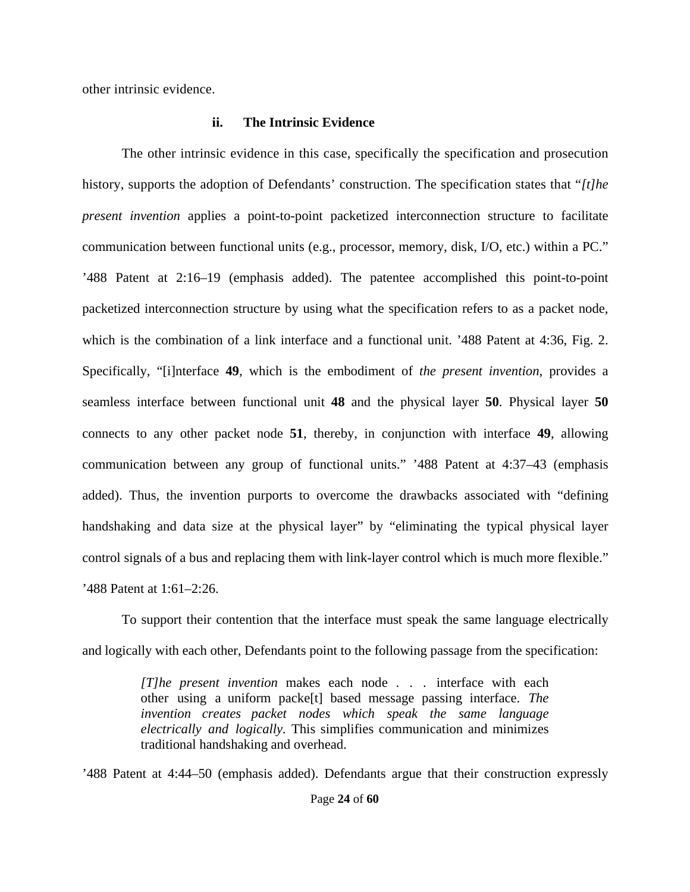other intrinsic evidence.

## **ii. The Intrinsic Evidence**

The other intrinsic evidence in this case, specifically the specification and prosecution history, supports the adoption of Defendants' construction. The specification states that "*[t]he present invention* applies a point-to-point packetized interconnection structure to facilitate communication between functional units (e.g., processor, memory, disk, I/O, etc.) within a PC." '488 Patent at 2:16–19 (emphasis added). The patentee accomplished this point-to-point packetized interconnection structure by using what the specification refers to as a packet node, which is the combination of a link interface and a functional unit. '488 Patent at 4:36, Fig. 2. Specifically, "[i]nterface **49**, which is the embodiment of *the present invention*, provides a seamless interface between functional unit **48** and the physical layer **50**. Physical layer **50** connects to any other packet node **51**, thereby, in conjunction with interface **49**, allowing communication between any group of functional units." '488 Patent at 4:37–43 (emphasis added). Thus, the invention purports to overcome the drawbacks associated with "defining handshaking and data size at the physical layer" by "eliminating the typical physical layer control signals of a bus and replacing them with link-layer control which is much more flexible." '488 Patent at 1:61–2:26.

To support their contention that the interface must speak the same language electrically and logically with each other, Defendants point to the following passage from the specification:

> *[T]he present invention* makes each node . . . interface with each other using a uniform packe[t] based message passing interface. *The invention creates packet nodes which speak the same language electrically and logically.* This simplifies communication and minimizes traditional handshaking and overhead.

'488 Patent at 4:44–50 (emphasis added). Defendants argue that their construction expressly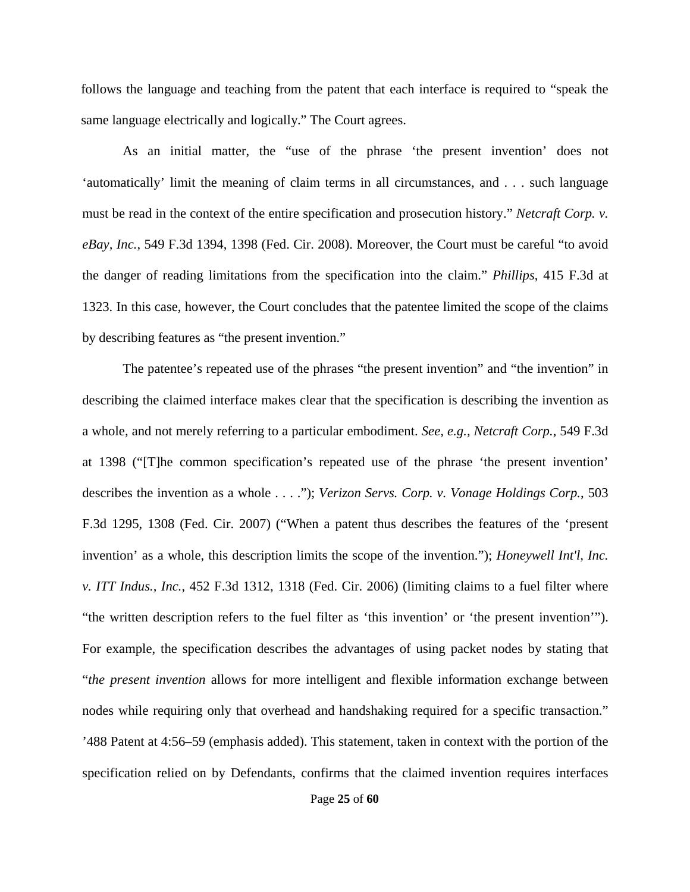follows the language and teaching from the patent that each interface is required to "speak the same language electrically and logically." The Court agrees.

As an initial matter, the "use of the phrase 'the present invention' does not 'automatically' limit the meaning of claim terms in all circumstances, and . . . such language must be read in the context of the entire specification and prosecution history." *Netcraft Corp. v. eBay, Inc.*, 549 F.3d 1394, 1398 (Fed. Cir. 2008). Moreover, the Court must be careful "to avoid the danger of reading limitations from the specification into the claim." *Phillips*, 415 F.3d at 1323. In this case, however, the Court concludes that the patentee limited the scope of the claims by describing features as "the present invention."

The patentee's repeated use of the phrases "the present invention" and "the invention" in describing the claimed interface makes clear that the specification is describing the invention as a whole, and not merely referring to a particular embodiment. *See, e.g., Netcraft Corp.*, 549 F.3d at 1398 ("[T]he common specification's repeated use of the phrase 'the present invention' describes the invention as a whole . . . ."); *Verizon Servs. Corp. v. Vonage Holdings Corp.*, 503 F.3d 1295, 1308 (Fed. Cir. 2007) ("When a patent thus describes the features of the 'present invention' as a whole, this description limits the scope of the invention."); *Honeywell Int'l, Inc. v. ITT Indus., Inc.*, 452 F.3d 1312, 1318 (Fed. Cir. 2006) (limiting claims to a fuel filter where "the written description refers to the fuel filter as 'this invention' or 'the present invention'"). For example, the specification describes the advantages of using packet nodes by stating that "*the present invention* allows for more intelligent and flexible information exchange between nodes while requiring only that overhead and handshaking required for a specific transaction." '488 Patent at 4:56–59 (emphasis added). This statement, taken in context with the portion of the specification relied on by Defendants, confirms that the claimed invention requires interfaces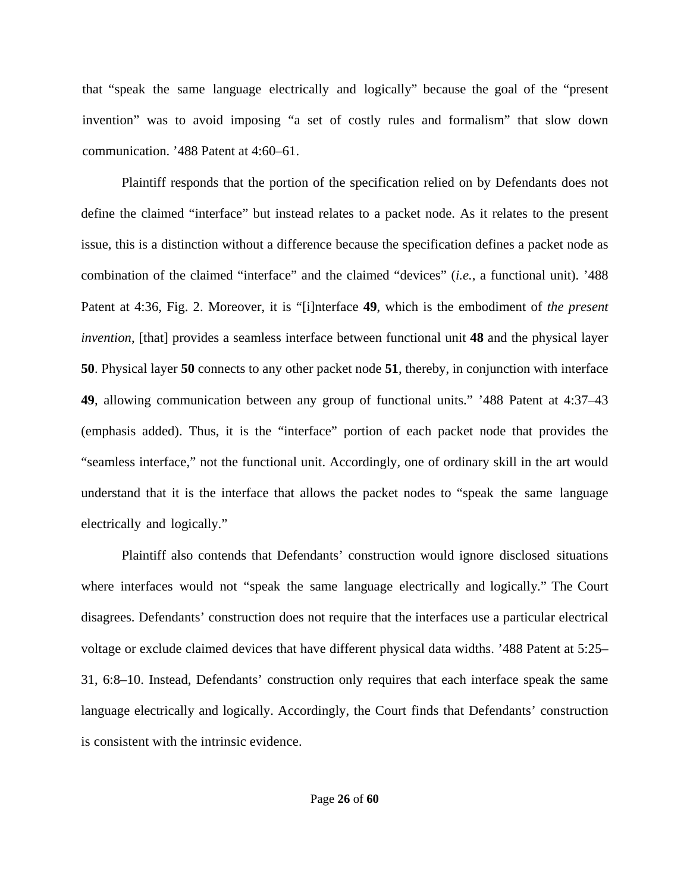that "speak the same language electrically and logically" because the goal of the "present invention" was to avoid imposing "a set of costly rules and formalism" that slow down communication. '488 Patent at 4:60–61.

Plaintiff responds that the portion of the specification relied on by Defendants does not define the claimed "interface" but instead relates to a packet node. As it relates to the present issue, this is a distinction without a difference because the specification defines a packet node as combination of the claimed "interface" and the claimed "devices" (*i.e.*, a functional unit). '488 Patent at 4:36, Fig. 2. Moreover, it is "[i]nterface **49**, which is the embodiment of *the present invention*, [that] provides a seamless interface between functional unit **48** and the physical layer **50**. Physical layer **50** connects to any other packet node **51**, thereby, in conjunction with interface **49**, allowing communication between any group of functional units." '488 Patent at 4:37–43 (emphasis added). Thus, it is the "interface" portion of each packet node that provides the "seamless interface," not the functional unit. Accordingly, one of ordinary skill in the art would understand that it is the interface that allows the packet nodes to "speak the same language electrically and logically."

Plaintiff also contends that Defendants' construction would ignore disclosed situations where interfaces would not "speak the same language electrically and logically." The Court disagrees. Defendants' construction does not require that the interfaces use a particular electrical voltage or exclude claimed devices that have different physical data widths. '488 Patent at 5:25– 31, 6:8–10. Instead, Defendants' construction only requires that each interface speak the same language electrically and logically. Accordingly, the Court finds that Defendants' construction is consistent with the intrinsic evidence.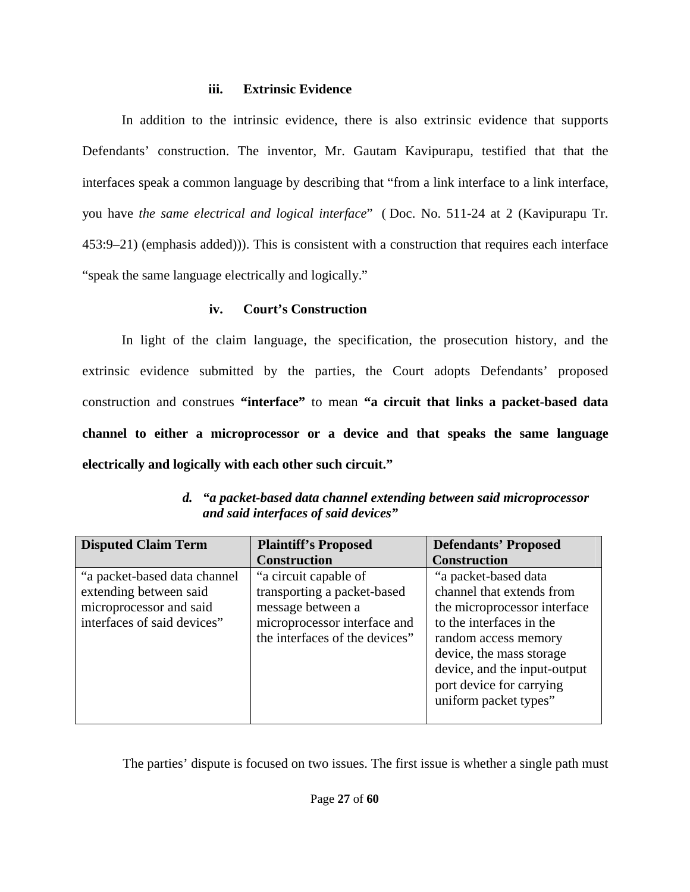# **iii. Extrinsic Evidence**

In addition to the intrinsic evidence, there is also extrinsic evidence that supports Defendants' construction. The inventor, Mr. Gautam Kavipurapu, testified that that the interfaces speak a common language by describing that "from a link interface to a link interface, you have *the same electrical and logical interface*" ( Doc. No. 511-24 at 2 (Kavipurapu Tr. 453:9–21) (emphasis added))). This is consistent with a construction that requires each interface "speak the same language electrically and logically."

# **iv. Court's Construction**

In light of the claim language, the specification, the prosecution history, and the extrinsic evidence submitted by the parties, the Court adopts Defendants' proposed construction and construes **"interface"** to mean **"a circuit that links a packet-based data channel to either a microprocessor or a device and that speaks the same language electrically and logically with each other such circuit."**

| <b>Disputed Claim Term</b>                                                         | <b>Plaintiff's Proposed</b>                                                                      | <b>Defendants' Proposed</b>                                                                                                              |
|------------------------------------------------------------------------------------|--------------------------------------------------------------------------------------------------|------------------------------------------------------------------------------------------------------------------------------------------|
| "a packet-based data channel"<br>extending between said<br>microprocessor and said | <b>Construction</b><br>"a circuit capable of<br>transporting a packet-based<br>message between a | <b>Construction</b><br>"a packet-based data<br>channel that extends from<br>the microprocessor interface                                 |
| interfaces of said devices"                                                        | microprocessor interface and<br>the interfaces of the devices"                                   | to the interfaces in the<br>random access memory<br>device, the mass storage<br>device, and the input-output<br>port device for carrying |
|                                                                                    |                                                                                                  | uniform packet types"                                                                                                                    |

*d. "a packet-based data channel extending between said microprocessor and said interfaces of said devices"* 

The parties' dispute is focused on two issues. The first issue is whether a single path must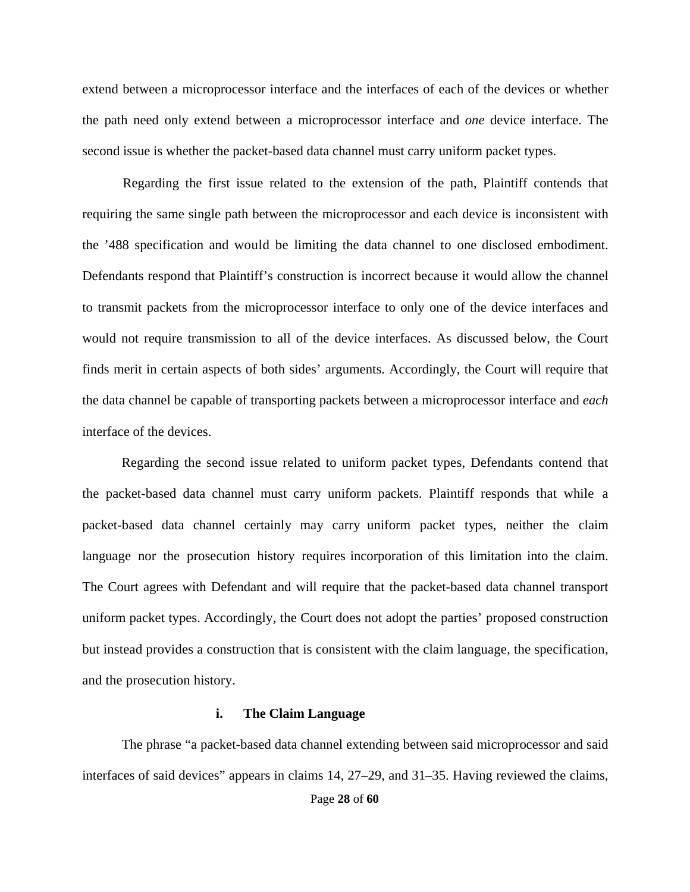extend between a microprocessor interface and the interfaces of each of the devices or whether the path need only extend between a microprocessor interface and *one* device interface. The second issue is whether the packet-based data channel must carry uniform packet types.

Regarding the first issue related to the extension of the path, Plaintiff contends that requiring the same single path between the microprocessor and each device is inconsistent with the '488 specification and would be limiting the data channel to one disclosed embodiment. Defendants respond that Plaintiff's construction is incorrect because it would allow the channel to transmit packets from the microprocessor interface to only one of the device interfaces and would not require transmission to all of the device interfaces. As discussed below, the Court finds merit in certain aspects of both sides' arguments. Accordingly, the Court will require that the data channel be capable of transporting packets between a microprocessor interface and *each* interface of the devices.

Regarding the second issue related to uniform packet types, Defendants contend that the packet-based data channel must carry uniform packets. Plaintiff responds that while a packet-based data channel certainly may carry uniform packet types, neither the claim language nor the prosecution history requires incorporation of this limitation into the claim. The Court agrees with Defendant and will require that the packet-based data channel transport uniform packet types. Accordingly, the Court does not adopt the parties' proposed construction but instead provides a construction that is consistent with the claim language, the specification, and the prosecution history.

## **i. The Claim Language**

The phrase "a packet-based data channel extending between said microprocessor and said interfaces of said devices" appears in claims 14, 27–29, and 31–35. Having reviewed the claims,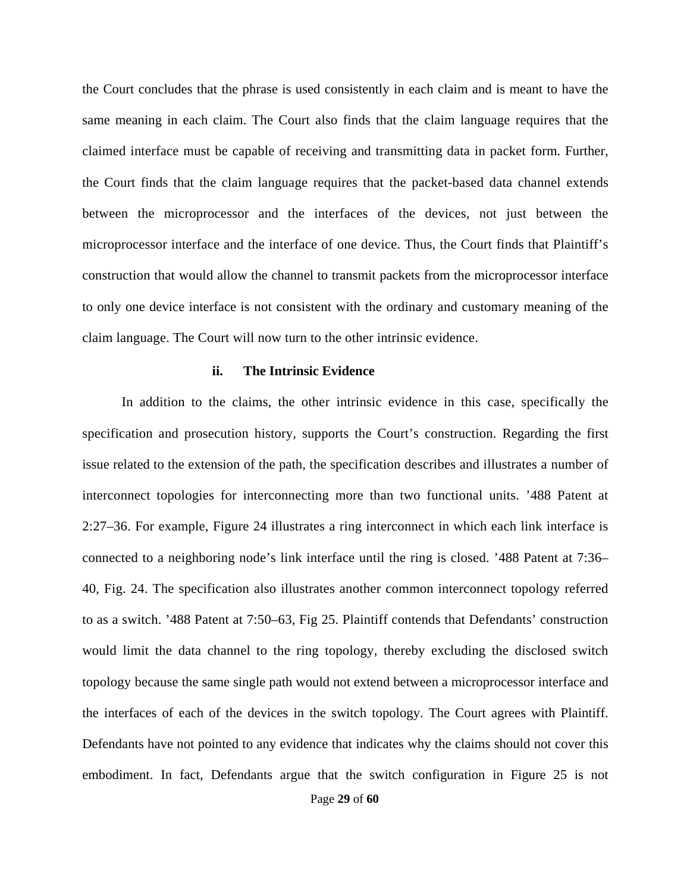the Court concludes that the phrase is used consistently in each claim and is meant to have the same meaning in each claim. The Court also finds that the claim language requires that the claimed interface must be capable of receiving and transmitting data in packet form. Further, the Court finds that the claim language requires that the packet-based data channel extends between the microprocessor and the interfaces of the devices, not just between the microprocessor interface and the interface of one device. Thus, the Court finds that Plaintiff's construction that would allow the channel to transmit packets from the microprocessor interface to only one device interface is not consistent with the ordinary and customary meaning of the claim language. The Court will now turn to the other intrinsic evidence.

## **ii. The Intrinsic Evidence**

In addition to the claims, the other intrinsic evidence in this case, specifically the specification and prosecution history, supports the Court's construction. Regarding the first issue related to the extension of the path, the specification describes and illustrates a number of interconnect topologies for interconnecting more than two functional units. '488 Patent at 2:27–36. For example, Figure 24 illustrates a ring interconnect in which each link interface is connected to a neighboring node's link interface until the ring is closed. '488 Patent at 7:36– 40, Fig. 24. The specification also illustrates another common interconnect topology referred to as a switch. '488 Patent at 7:50–63, Fig 25. Plaintiff contends that Defendants' construction would limit the data channel to the ring topology, thereby excluding the disclosed switch topology because the same single path would not extend between a microprocessor interface and the interfaces of each of the devices in the switch topology. The Court agrees with Plaintiff. Defendants have not pointed to any evidence that indicates why the claims should not cover this embodiment. In fact, Defendants argue that the switch configuration in Figure 25 is not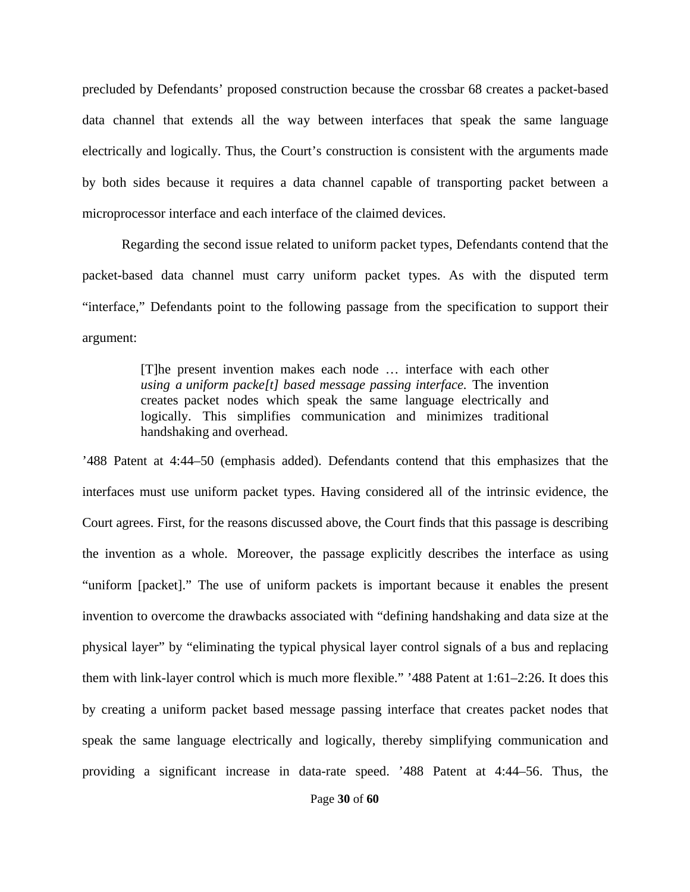precluded by Defendants' proposed construction because the crossbar 68 creates a packet-based data channel that extends all the way between interfaces that speak the same language electrically and logically. Thus, the Court's construction is consistent with the arguments made by both sides because it requires a data channel capable of transporting packet between a microprocessor interface and each interface of the claimed devices.

Regarding the second issue related to uniform packet types, Defendants contend that the packet-based data channel must carry uniform packet types. As with the disputed term "interface," Defendants point to the following passage from the specification to support their argument:

> [T]he present invention makes each node … interface with each other *using a uniform packe[t] based message passing interface.* The invention creates packet nodes which speak the same language electrically and logically. This simplifies communication and minimizes traditional handshaking and overhead.

'488 Patent at 4:44–50 (emphasis added). Defendants contend that this emphasizes that the interfaces must use uniform packet types. Having considered all of the intrinsic evidence, the Court agrees. First, for the reasons discussed above, the Court finds that this passage is describing the invention as a whole. Moreover, the passage explicitly describes the interface as using "uniform [packet]." The use of uniform packets is important because it enables the present invention to overcome the drawbacks associated with "defining handshaking and data size at the physical layer" by "eliminating the typical physical layer control signals of a bus and replacing them with link-layer control which is much more flexible." '488 Patent at 1:61–2:26. It does this by creating a uniform packet based message passing interface that creates packet nodes that speak the same language electrically and logically, thereby simplifying communication and providing a significant increase in data-rate speed. '488 Patent at 4:44–56. Thus, the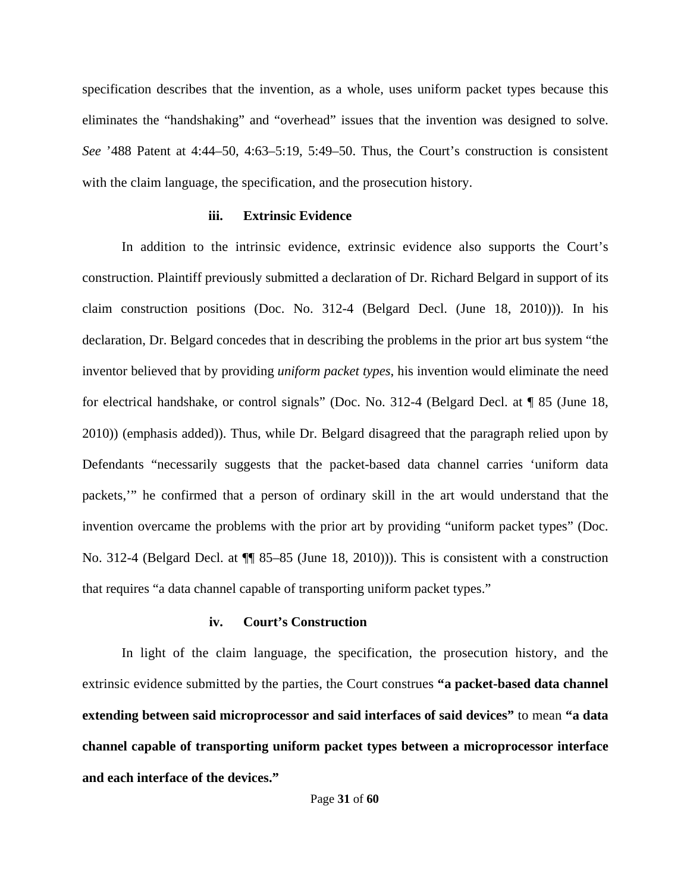specification describes that the invention, as a whole, uses uniform packet types because this eliminates the "handshaking" and "overhead" issues that the invention was designed to solve. *See* '488 Patent at 4:44–50, 4:63–5:19, 5:49–50. Thus, the Court's construction is consistent with the claim language, the specification, and the prosecution history.

## **iii. Extrinsic Evidence**

In addition to the intrinsic evidence, extrinsic evidence also supports the Court's construction. Plaintiff previously submitted a declaration of Dr. Richard Belgard in support of its claim construction positions (Doc. No. 312-4 (Belgard Decl. (June 18, 2010))). In his declaration, Dr. Belgard concedes that in describing the problems in the prior art bus system "the inventor believed that by providing *uniform packet types*, his invention would eliminate the need for electrical handshake, or control signals" (Doc. No. 312-4 (Belgard Decl. at ¶ 85 (June 18, 2010)) (emphasis added)). Thus, while Dr. Belgard disagreed that the paragraph relied upon by Defendants "necessarily suggests that the packet-based data channel carries 'uniform data packets,'" he confirmed that a person of ordinary skill in the art would understand that the invention overcame the problems with the prior art by providing "uniform packet types" (Doc. No. 312-4 (Belgard Decl. at  $\P$  85–85 (June 18, 2010))). This is consistent with a construction that requires "a data channel capable of transporting uniform packet types."

## **iv. Court's Construction**

In light of the claim language, the specification, the prosecution history, and the extrinsic evidence submitted by the parties, the Court construes **"a packet-based data channel extending between said microprocessor and said interfaces of said devices"** to mean **"a data channel capable of transporting uniform packet types between a microprocessor interface and each interface of the devices."**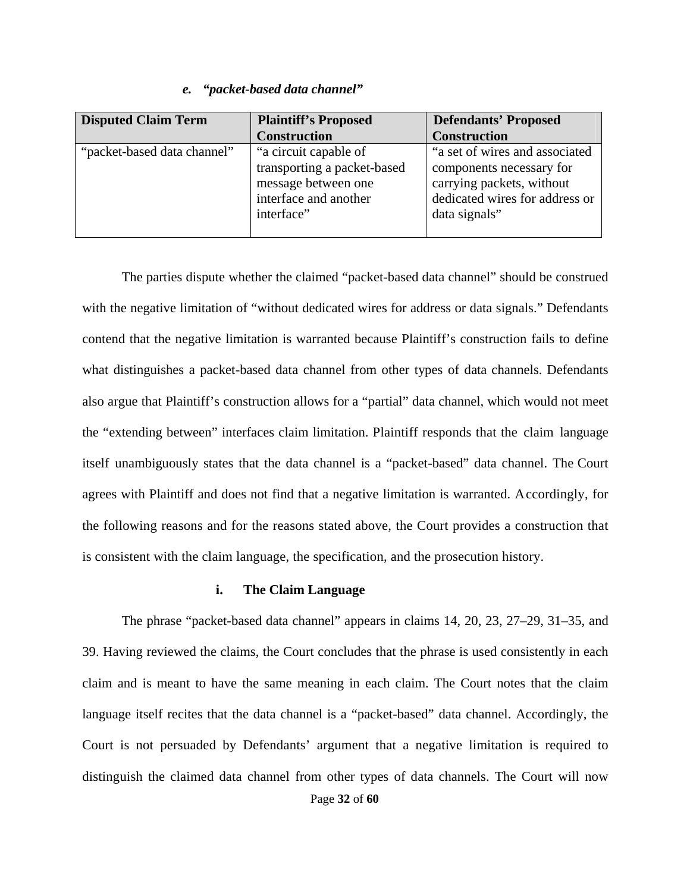## *e. "packet-based data channel"*

| <b>Disputed Claim Term</b>  | <b>Plaintiff's Proposed</b> | <b>Defendants' Proposed</b>    |
|-----------------------------|-----------------------------|--------------------------------|
|                             | <b>Construction</b>         | <b>Construction</b>            |
| "packet-based data channel" | "a circuit capable of       | "a set of wires and associated |
|                             | transporting a packet-based | components necessary for       |
|                             | message between one         | carrying packets, without      |
|                             | interface and another       | dedicated wires for address or |
|                             | interface"                  | data signals"                  |
|                             |                             |                                |

The parties dispute whether the claimed "packet-based data channel" should be construed with the negative limitation of "without dedicated wires for address or data signals." Defendants contend that the negative limitation is warranted because Plaintiff's construction fails to define what distinguishes a packet-based data channel from other types of data channels. Defendants also argue that Plaintiff's construction allows for a "partial" data channel, which would not meet the "extending between" interfaces claim limitation. Plaintiff responds that the claim language itself unambiguously states that the data channel is a "packet-based" data channel. The Court agrees with Plaintiff and does not find that a negative limitation is warranted. Accordingly, for the following reasons and for the reasons stated above, the Court provides a construction that is consistent with the claim language, the specification, and the prosecution history.

## **i. The Claim Language**

The phrase "packet-based data channel" appears in claims 14, 20, 23, 27–29, 31–35, and 39. Having reviewed the claims, the Court concludes that the phrase is used consistently in each claim and is meant to have the same meaning in each claim. The Court notes that the claim language itself recites that the data channel is a "packet-based" data channel. Accordingly, the Court is not persuaded by Defendants' argument that a negative limitation is required to distinguish the claimed data channel from other types of data channels. The Court will now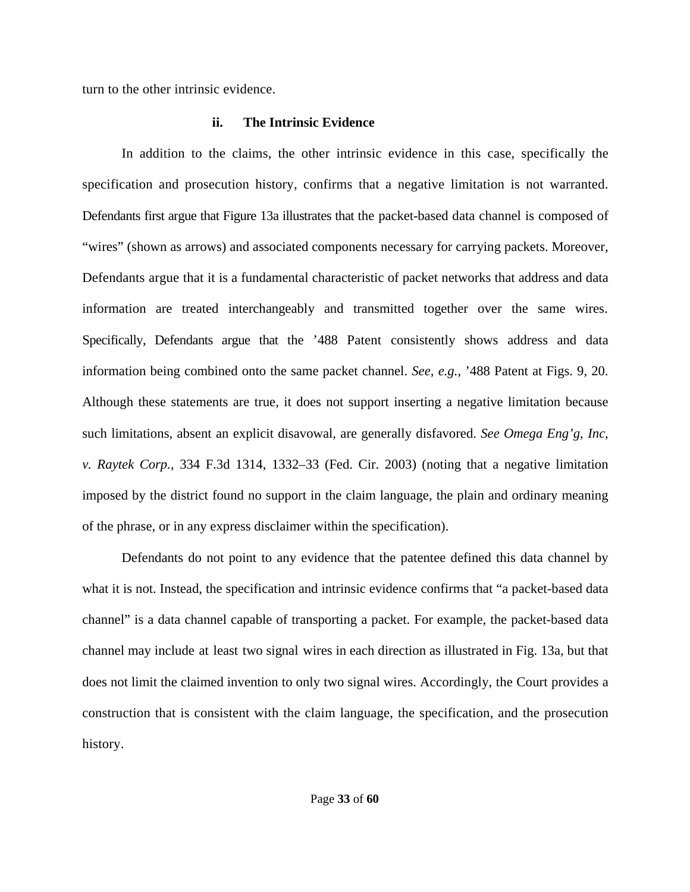turn to the other intrinsic evidence.

# **ii. The Intrinsic Evidence**

In addition to the claims, the other intrinsic evidence in this case, specifically the specification and prosecution history, confirms that a negative limitation is not warranted. Defendants first argue that Figure 13a illustrates that the packet-based data channel is composed of "wires" (shown as arrows) and associated components necessary for carrying packets. Moreover, Defendants argue that it is a fundamental characteristic of packet networks that address and data information are treated interchangeably and transmitted together over the same wires. Specifically, Defendants argue that the '488 Patent consistently shows address and data information being combined onto the same packet channel. *See, e.g.*, '488 Patent at Figs. 9, 20. Although these statements are true, it does not support inserting a negative limitation because such limitations, absent an explicit disavowal, are generally disfavored. *See Omega Eng'g, Inc, v. Raytek Corp.*, 334 F.3d 1314, 1332–33 (Fed. Cir. 2003) (noting that a negative limitation imposed by the district found no support in the claim language, the plain and ordinary meaning of the phrase, or in any express disclaimer within the specification).

Defendants do not point to any evidence that the patentee defined this data channel by what it is not. Instead, the specification and intrinsic evidence confirms that "a packet-based data channel" is a data channel capable of transporting a packet. For example, the packet-based data channel may include at least two signal wires in each direction as illustrated in Fig. 13a, but that does not limit the claimed invention to only two signal wires. Accordingly, the Court provides a construction that is consistent with the claim language, the specification, and the prosecution history.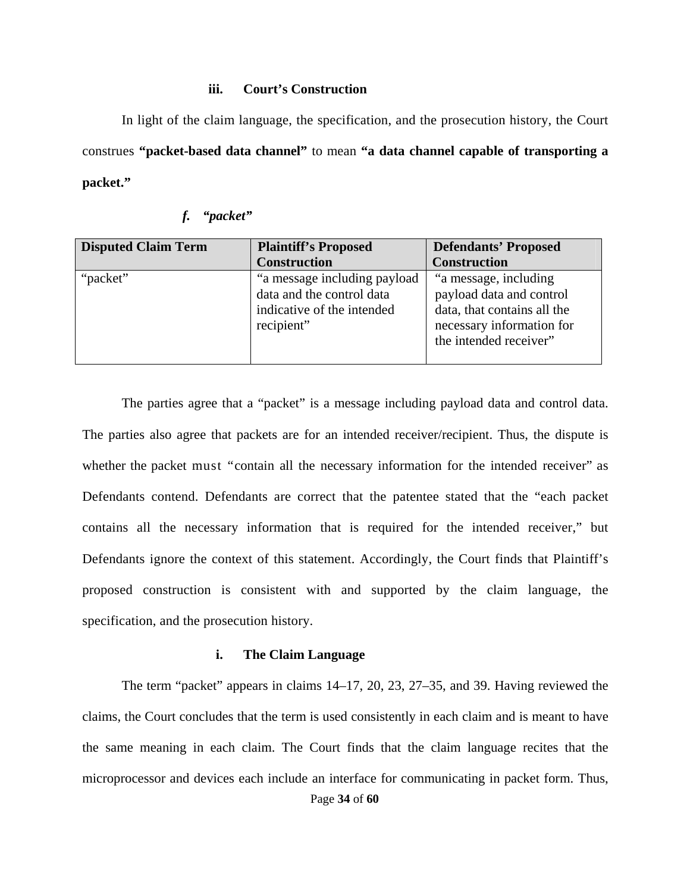### **iii. Court's Construction**

In light of the claim language, the specification, and the prosecution history, the Court construes **"packet-based data channel"** to mean **"a data channel capable of transporting a packet."**

| f. | "packet" |
|----|----------|
|    |          |

| <b>Disputed Claim Term</b> | <b>Plaintiff's Proposed</b>                                                                           | <b>Defendants' Proposed</b>                                                                                                             |
|----------------------------|-------------------------------------------------------------------------------------------------------|-----------------------------------------------------------------------------------------------------------------------------------------|
|                            | <b>Construction</b>                                                                                   | <b>Construction</b>                                                                                                                     |
| "packet"                   | "a message including payload<br>data and the control data<br>indicative of the intended<br>recipient" | "a message, including<br>payload data and control<br>data, that contains all the<br>necessary information for<br>the intended receiver" |

The parties agree that a "packet" is a message including payload data and control data. The parties also agree that packets are for an intended receiver/recipient. Thus, the dispute is whether the packet must "contain all the necessary information for the intended receiver" as Defendants contend. Defendants are correct that the patentee stated that the "each packet contains all the necessary information that is required for the intended receiver," but Defendants ignore the context of this statement. Accordingly, the Court finds that Plaintiff's proposed construction is consistent with and supported by the claim language, the specification, and the prosecution history.

#### **i. The Claim Language**

Page **34** of **60** The term "packet" appears in claims 14–17, 20, 23, 27–35, and 39. Having reviewed the claims, the Court concludes that the term is used consistently in each claim and is meant to have the same meaning in each claim. The Court finds that the claim language recites that the microprocessor and devices each include an interface for communicating in packet form. Thus,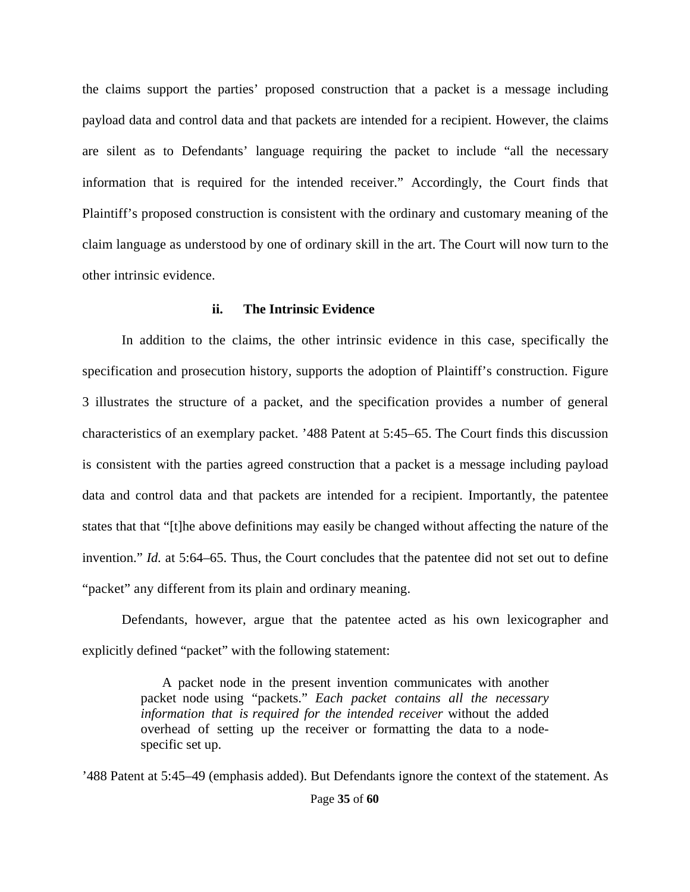the claims support the parties' proposed construction that a packet is a message including payload data and control data and that packets are intended for a recipient. However, the claims are silent as to Defendants' language requiring the packet to include "all the necessary information that is required for the intended receiver." Accordingly, the Court finds that Plaintiff's proposed construction is consistent with the ordinary and customary meaning of the claim language as understood by one of ordinary skill in the art. The Court will now turn to the other intrinsic evidence.

## **ii. The Intrinsic Evidence**

In addition to the claims, the other intrinsic evidence in this case, specifically the specification and prosecution history, supports the adoption of Plaintiff's construction. Figure 3 illustrates the structure of a packet, and the specification provides a number of general characteristics of an exemplary packet. '488 Patent at 5:45–65. The Court finds this discussion is consistent with the parties agreed construction that a packet is a message including payload data and control data and that packets are intended for a recipient. Importantly, the patentee states that that "[t]he above definitions may easily be changed without affecting the nature of the invention." *Id.* at 5:64–65. Thus, the Court concludes that the patentee did not set out to define "packet" any different from its plain and ordinary meaning.

Defendants, however, argue that the patentee acted as his own lexicographer and explicitly defined "packet" with the following statement:

> A packet node in the present invention communicates with another packet node using "packets." *Each packet contains all the necessary information that is required for the intended receiver* without the added overhead of setting up the receiver or formatting the data to a nodespecific set up.

'488 Patent at 5:45–49 (emphasis added). But Defendants ignore the context of the statement. As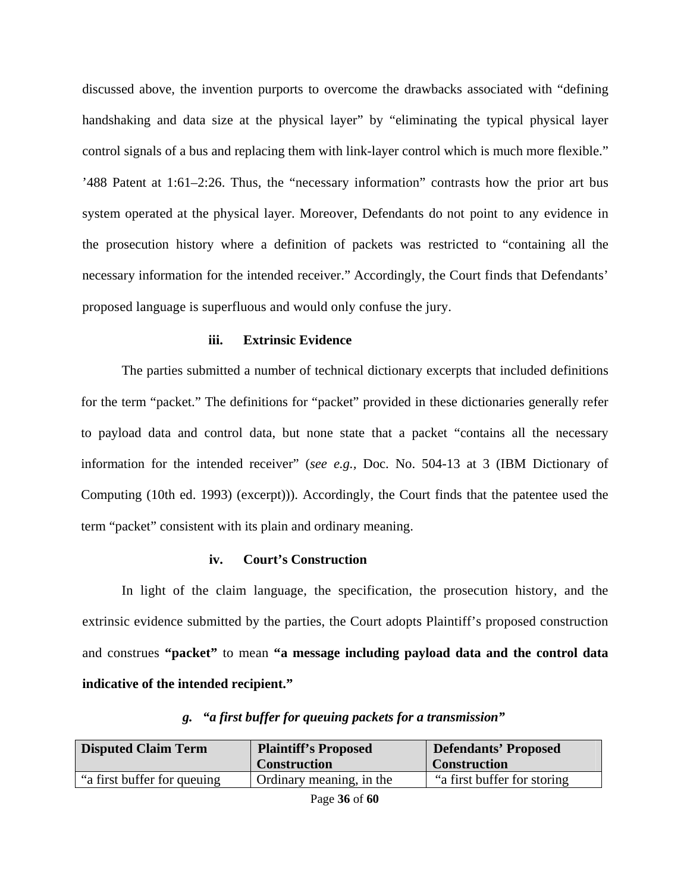discussed above, the invention purports to overcome the drawbacks associated with "defining handshaking and data size at the physical layer" by "eliminating the typical physical layer control signals of a bus and replacing them with link-layer control which is much more flexible." '488 Patent at 1:61–2:26. Thus, the "necessary information" contrasts how the prior art bus system operated at the physical layer. Moreover, Defendants do not point to any evidence in the prosecution history where a definition of packets was restricted to "containing all the necessary information for the intended receiver." Accordingly, the Court finds that Defendants' proposed language is superfluous and would only confuse the jury.

#### **iii. Extrinsic Evidence**

The parties submitted a number of technical dictionary excerpts that included definitions for the term "packet." The definitions for "packet" provided in these dictionaries generally refer to payload data and control data, but none state that a packet "contains all the necessary information for the intended receiver" (*see e.g.,* Doc. No. 504-13 at 3 (IBM Dictionary of Computing (10th ed. 1993) (excerpt))). Accordingly, the Court finds that the patentee used the term "packet" consistent with its plain and ordinary meaning.

## **iv. Court's Construction**

In light of the claim language, the specification, the prosecution history, and the extrinsic evidence submitted by the parties, the Court adopts Plaintiff's proposed construction and construes **"packet"** to mean **"a message including payload data and the control data indicative of the intended recipient."**

| <b>Disputed Claim Term</b>   | <b>Plaintiff's Proposed</b><br><b>Construction</b> | <b>Defendants' Proposed</b><br><b>Construction</b> |
|------------------------------|----------------------------------------------------|----------------------------------------------------|
| "a first buffer for queuing" | Ordinary meaning, in the                           | "a first buffer for storing"                       |

## *g. "a first buffer for queuing packets for a transmission"*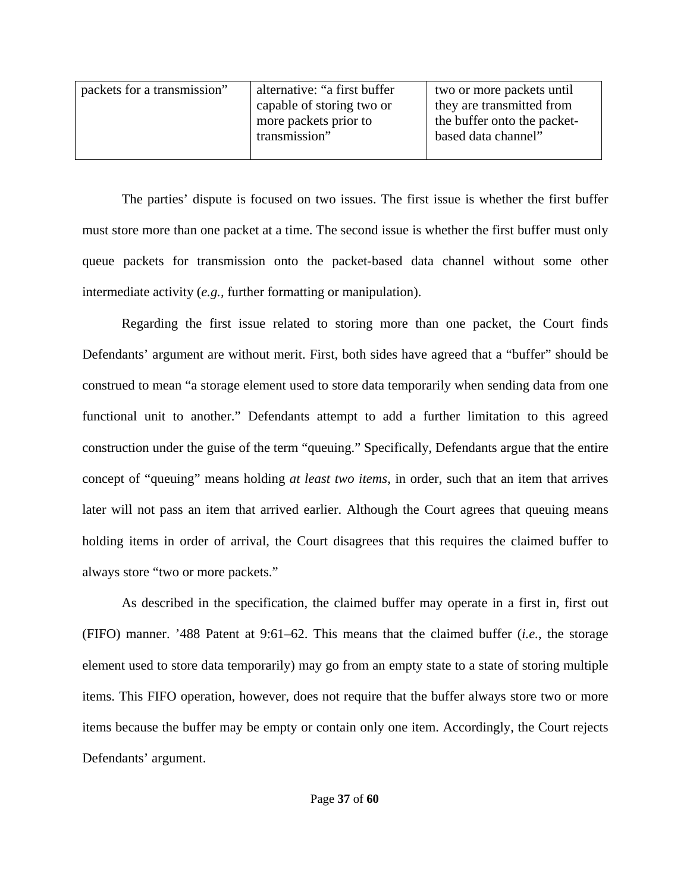| packets for a transmission" | alternative: "a first buffer | two or more packets until   |
|-----------------------------|------------------------------|-----------------------------|
|                             | capable of storing two or    | they are transmitted from   |
|                             | more packets prior to        | the buffer onto the packet- |
|                             | transmission"                | based data channel"         |
|                             |                              |                             |

The parties' dispute is focused on two issues. The first issue is whether the first buffer must store more than one packet at a time. The second issue is whether the first buffer must only queue packets for transmission onto the packet-based data channel without some other intermediate activity (*e.g.,* further formatting or manipulation).

Regarding the first issue related to storing more than one packet, the Court finds Defendants' argument are without merit. First, both sides have agreed that a "buffer" should be construed to mean "a storage element used to store data temporarily when sending data from one functional unit to another." Defendants attempt to add a further limitation to this agreed construction under the guise of the term "queuing." Specifically, Defendants argue that the entire concept of "queuing" means holding *at least two items*, in order, such that an item that arrives later will not pass an item that arrived earlier. Although the Court agrees that queuing means holding items in order of arrival, the Court disagrees that this requires the claimed buffer to always store "two or more packets."

As described in the specification, the claimed buffer may operate in a first in, first out (FIFO) manner. '488 Patent at 9:61–62. This means that the claimed buffer (*i.e.*, the storage element used to store data temporarily) may go from an empty state to a state of storing multiple items. This FIFO operation, however, does not require that the buffer always store two or more items because the buffer may be empty or contain only one item. Accordingly, the Court rejects Defendants' argument.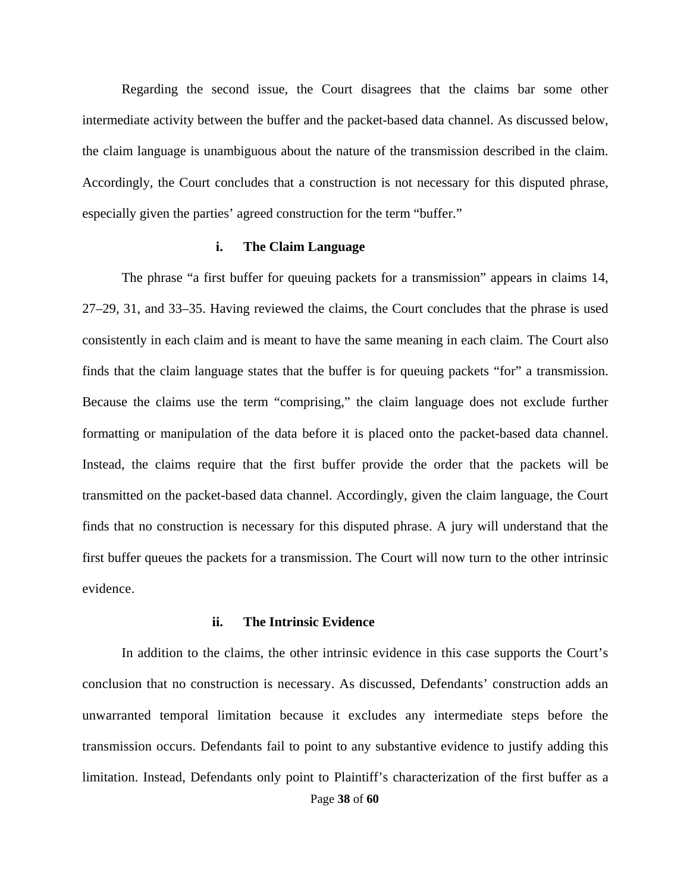Regarding the second issue, the Court disagrees that the claims bar some other intermediate activity between the buffer and the packet-based data channel. As discussed below, the claim language is unambiguous about the nature of the transmission described in the claim. Accordingly, the Court concludes that a construction is not necessary for this disputed phrase, especially given the parties' agreed construction for the term "buffer."

#### **i. The Claim Language**

The phrase "a first buffer for queuing packets for a transmission" appears in claims 14, 27–29, 31, and 33–35. Having reviewed the claims, the Court concludes that the phrase is used consistently in each claim and is meant to have the same meaning in each claim. The Court also finds that the claim language states that the buffer is for queuing packets "for" a transmission. Because the claims use the term "comprising," the claim language does not exclude further formatting or manipulation of the data before it is placed onto the packet-based data channel. Instead, the claims require that the first buffer provide the order that the packets will be transmitted on the packet-based data channel. Accordingly, given the claim language, the Court finds that no construction is necessary for this disputed phrase. A jury will understand that the first buffer queues the packets for a transmission. The Court will now turn to the other intrinsic evidence.

#### **ii. The Intrinsic Evidence**

Page **38** of **60** In addition to the claims, the other intrinsic evidence in this case supports the Court's conclusion that no construction is necessary. As discussed, Defendants' construction adds an unwarranted temporal limitation because it excludes any intermediate steps before the transmission occurs. Defendants fail to point to any substantive evidence to justify adding this limitation. Instead, Defendants only point to Plaintiff's characterization of the first buffer as a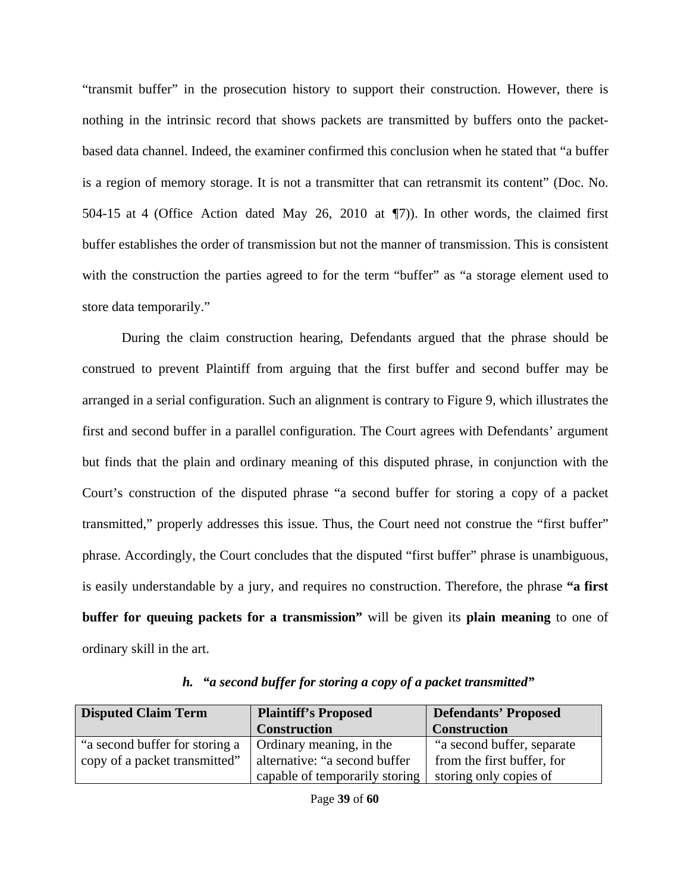"transmit buffer" in the prosecution history to support their construction. However, there is nothing in the intrinsic record that shows packets are transmitted by buffers onto the packetbased data channel. Indeed, the examiner confirmed this conclusion when he stated that "a buffer is a region of memory storage. It is not a transmitter that can retransmit its content" (Doc. No. 504-15 at 4 (Office Action dated May 26, 2010 at ¶7)). In other words, the claimed first buffer establishes the order of transmission but not the manner of transmission. This is consistent with the construction the parties agreed to for the term "buffer" as "a storage element used to store data temporarily."

During the claim construction hearing, Defendants argued that the phrase should be construed to prevent Plaintiff from arguing that the first buffer and second buffer may be arranged in a serial configuration. Such an alignment is contrary to Figure 9, which illustrates the first and second buffer in a parallel configuration. The Court agrees with Defendants' argument but finds that the plain and ordinary meaning of this disputed phrase, in conjunction with the Court's construction of the disputed phrase "a second buffer for storing a copy of a packet transmitted," properly addresses this issue. Thus, the Court need not construe the "first buffer" phrase. Accordingly, the Court concludes that the disputed "first buffer" phrase is unambiguous, is easily understandable by a jury, and requires no construction. Therefore, the phrase **"a first buffer for queuing packets for a transmission"** will be given its **plain meaning** to one of ordinary skill in the art.

| <b>Disputed Claim Term</b>     | <b>Plaintiff's Proposed</b>    | <b>Defendants' Proposed</b> |
|--------------------------------|--------------------------------|-----------------------------|
|                                | <b>Construction</b>            | <b>Construction</b>         |
| "a second buffer for storing a | Ordinary meaning, in the       | "a second buffer, separate" |
| copy of a packet transmitted"  | alternative: "a second buffer  | from the first buffer, for  |
|                                | capable of temporarily storing | storing only copies of      |

*h. "a second buffer for storing a copy of a packet transmitted"*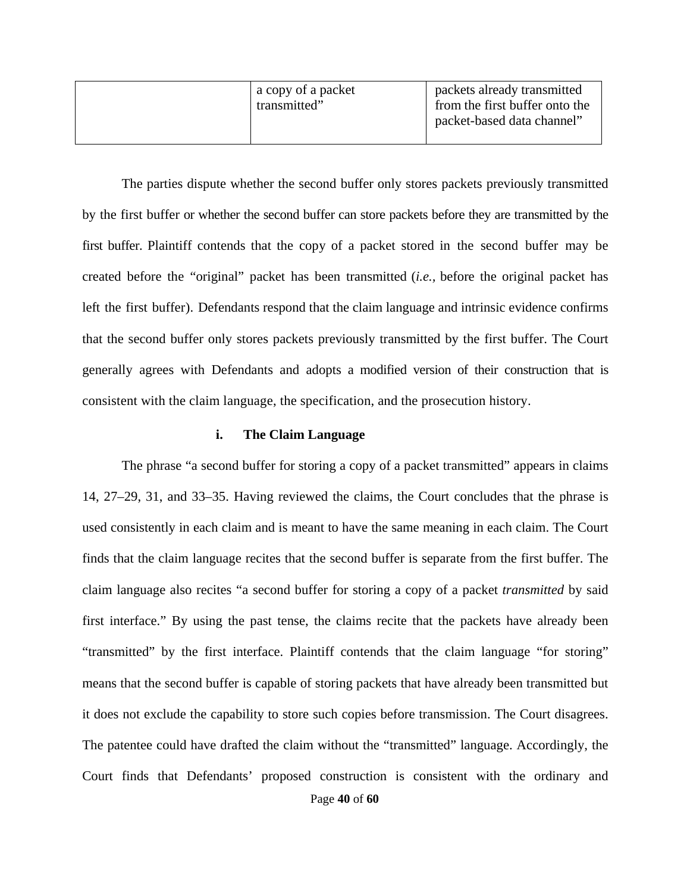| from the first buffer onto the<br>transmitted"<br>packet-based data channel" |
|------------------------------------------------------------------------------|
|------------------------------------------------------------------------------|

The parties dispute whether the second buffer only stores packets previously transmitted by the first buffer or whether the second buffer can store packets before they are transmitted by the first buffer. Plaintiff contends that the copy of a packet stored in the second buffer may be created before the "original" packet has been transmitted (*i.e.,* before the original packet has left the first buffer). Defendants respond that the claim language and intrinsic evidence confirms that the second buffer only stores packets previously transmitted by the first buffer. The Court generally agrees with Defendants and adopts a modified version of their construction that is consistent with the claim language, the specification, and the prosecution history.

## **i. The Claim Language**

The phrase "a second buffer for storing a copy of a packet transmitted" appears in claims 14, 27–29, 31, and 33–35. Having reviewed the claims, the Court concludes that the phrase is used consistently in each claim and is meant to have the same meaning in each claim. The Court finds that the claim language recites that the second buffer is separate from the first buffer. The claim language also recites "a second buffer for storing a copy of a packet *transmitted* by said first interface." By using the past tense, the claims recite that the packets have already been "transmitted" by the first interface. Plaintiff contends that the claim language "for storing" means that the second buffer is capable of storing packets that have already been transmitted but it does not exclude the capability to store such copies before transmission. The Court disagrees. The patentee could have drafted the claim without the "transmitted" language. Accordingly, the Court finds that Defendants' proposed construction is consistent with the ordinary and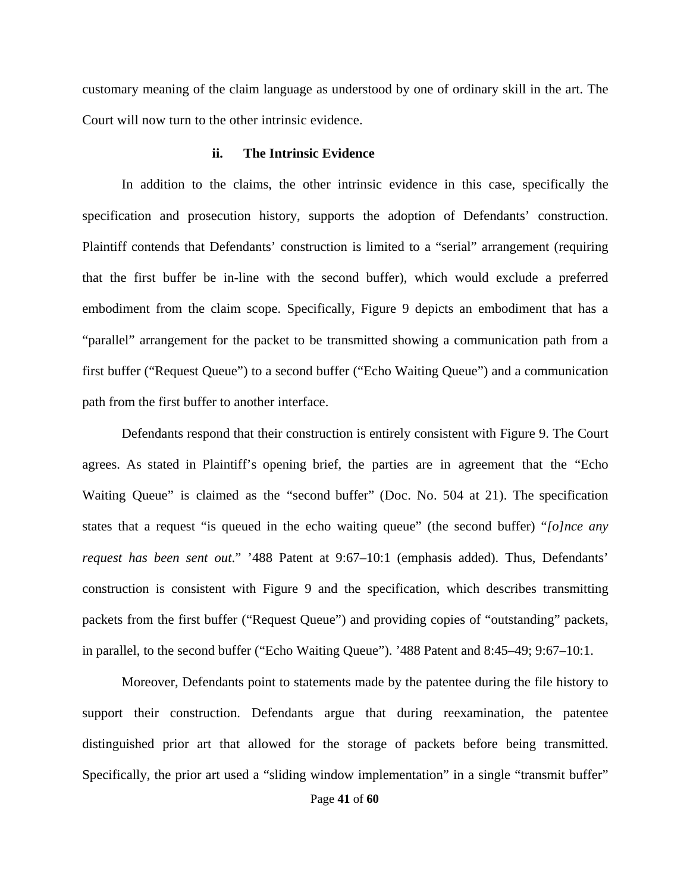customary meaning of the claim language as understood by one of ordinary skill in the art. The Court will now turn to the other intrinsic evidence.

#### **ii. The Intrinsic Evidence**

In addition to the claims, the other intrinsic evidence in this case, specifically the specification and prosecution history, supports the adoption of Defendants' construction. Plaintiff contends that Defendants' construction is limited to a "serial" arrangement (requiring that the first buffer be in-line with the second buffer), which would exclude a preferred embodiment from the claim scope. Specifically, Figure 9 depicts an embodiment that has a "parallel" arrangement for the packet to be transmitted showing a communication path from a first buffer ("Request Queue") to a second buffer ("Echo Waiting Queue") and a communication path from the first buffer to another interface.

Defendants respond that their construction is entirely consistent with Figure 9. The Court agrees. As stated in Plaintiff's opening brief, the parties are in agreement that the "Echo Waiting Queue" is claimed as the "second buffer" (Doc. No. 504 at 21). The specification states that a request "is queued in the echo waiting queue" (the second buffer) "*[o]nce any request has been sent out*." '488 Patent at 9:67–10:1 (emphasis added). Thus, Defendants' construction is consistent with Figure 9 and the specification, which describes transmitting packets from the first buffer ("Request Queue") and providing copies of "outstanding" packets, in parallel, to the second buffer ("Echo Waiting Queue"). '488 Patent and 8:45–49; 9:67–10:1.

Moreover, Defendants point to statements made by the patentee during the file history to support their construction. Defendants argue that during reexamination, the patentee distinguished prior art that allowed for the storage of packets before being transmitted. Specifically, the prior art used a "sliding window implementation" in a single "transmit buffer"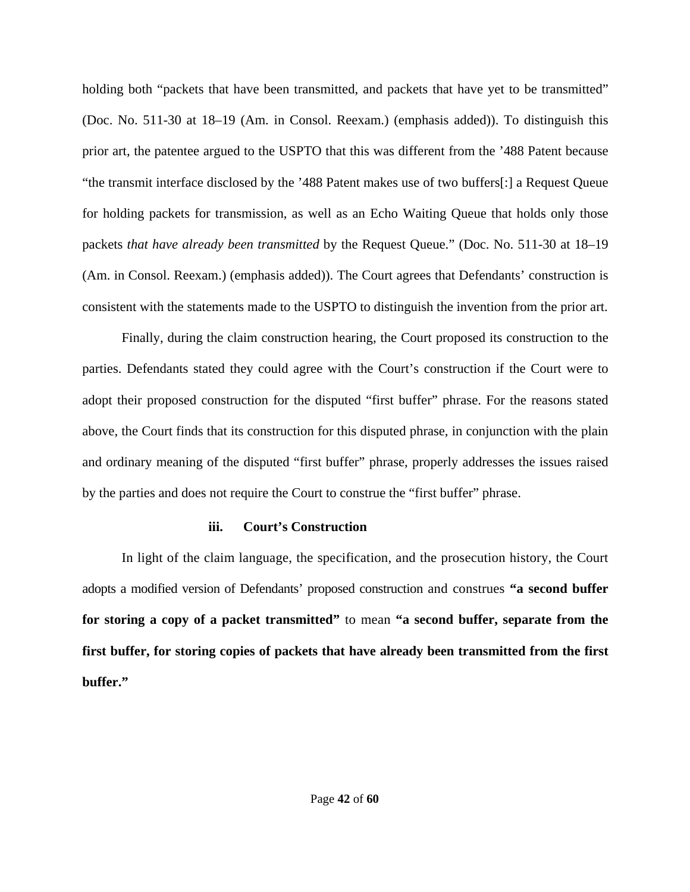holding both "packets that have been transmitted, and packets that have yet to be transmitted" (Doc. No. 511-30 at 18–19 (Am. in Consol. Reexam.) (emphasis added)). To distinguish this prior art, the patentee argued to the USPTO that this was different from the '488 Patent because "the transmit interface disclosed by the '488 Patent makes use of two buffers[:] a Request Queue for holding packets for transmission, as well as an Echo Waiting Queue that holds only those packets *that have already been transmitted* by the Request Queue." (Doc. No. 511-30 at 18–19 (Am. in Consol. Reexam.) (emphasis added)). The Court agrees that Defendants' construction is consistent with the statements made to the USPTO to distinguish the invention from the prior art.

Finally, during the claim construction hearing, the Court proposed its construction to the parties. Defendants stated they could agree with the Court's construction if the Court were to adopt their proposed construction for the disputed "first buffer" phrase. For the reasons stated above, the Court finds that its construction for this disputed phrase, in conjunction with the plain and ordinary meaning of the disputed "first buffer" phrase, properly addresses the issues raised by the parties and does not require the Court to construe the "first buffer" phrase.

## **iii. Court's Construction**

In light of the claim language, the specification, and the prosecution history, the Court adopts a modified version of Defendants' proposed construction and construes **"a second buffer for storing a copy of a packet transmitted"** to mean **"a second buffer, separate from the first buffer, for storing copies of packets that have already been transmitted from the first buffer."**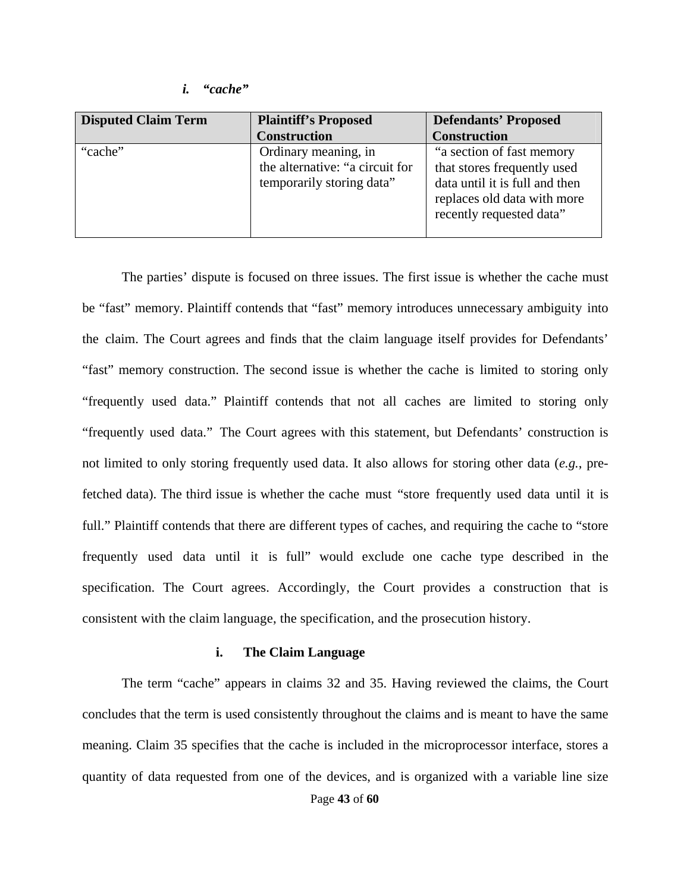#### *i. "cache"*

| <b>Disputed Claim Term</b> | <b>Plaintiff's Proposed</b>     | <b>Defendants' Proposed</b>    |
|----------------------------|---------------------------------|--------------------------------|
|                            | <b>Construction</b>             | <b>Construction</b>            |
| "cache"                    | Ordinary meaning, in            | "a section of fast memory      |
|                            | the alternative: "a circuit for | that stores frequently used    |
|                            | temporarily storing data"       | data until it is full and then |
|                            |                                 | replaces old data with more    |
|                            |                                 | recently requested data"       |
|                            |                                 |                                |

The parties' dispute is focused on three issues. The first issue is whether the cache must be "fast" memory. Plaintiff contends that "fast" memory introduces unnecessary ambiguity into the claim. The Court agrees and finds that the claim language itself provides for Defendants' "fast" memory construction. The second issue is whether the cache is limited to storing only "frequently used data." Plaintiff contends that not all caches are limited to storing only "frequently used data." The Court agrees with this statement, but Defendants' construction is not limited to only storing frequently used data. It also allows for storing other data (*e.g.*, prefetched data). The third issue is whether the cache must "store frequently used data until it is full." Plaintiff contends that there are different types of caches, and requiring the cache to "store" frequently used data until it is full" would exclude one cache type described in the specification. The Court agrees. Accordingly, the Court provides a construction that is consistent with the claim language, the specification, and the prosecution history.

## **i. The Claim Language**

The term "cache" appears in claims 32 and 35. Having reviewed the claims, the Court concludes that the term is used consistently throughout the claims and is meant to have the same meaning. Claim 35 specifies that the cache is included in the microprocessor interface, stores a quantity of data requested from one of the devices, and is organized with a variable line size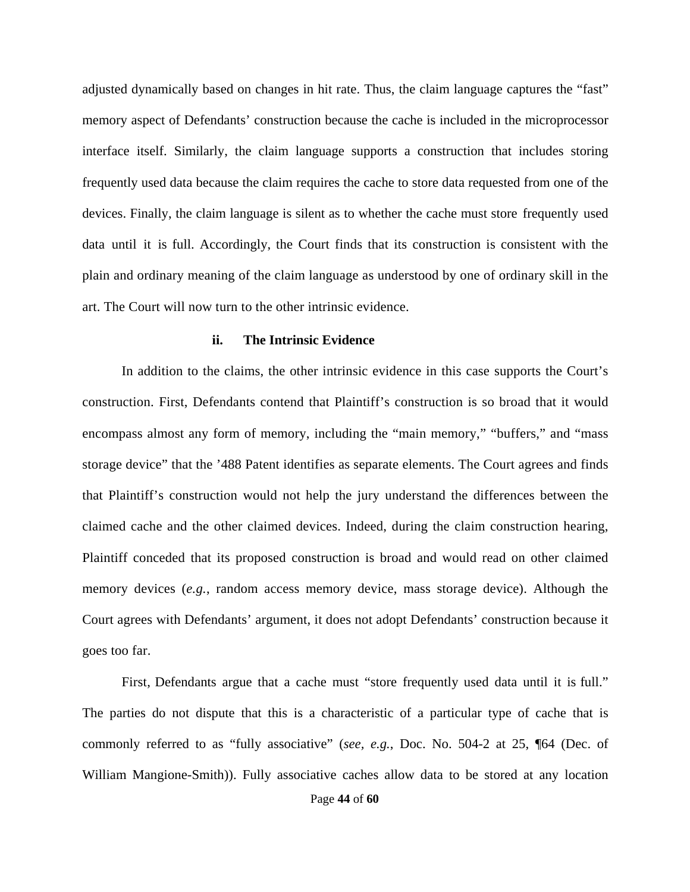adjusted dynamically based on changes in hit rate. Thus, the claim language captures the "fast" memory aspect of Defendants' construction because the cache is included in the microprocessor interface itself. Similarly, the claim language supports a construction that includes storing frequently used data because the claim requires the cache to store data requested from one of the devices. Finally, the claim language is silent as to whether the cache must store frequently used data until it is full. Accordingly, the Court finds that its construction is consistent with the plain and ordinary meaning of the claim language as understood by one of ordinary skill in the art. The Court will now turn to the other intrinsic evidence.

#### **ii. The Intrinsic Evidence**

In addition to the claims, the other intrinsic evidence in this case supports the Court's construction. First, Defendants contend that Plaintiff's construction is so broad that it would encompass almost any form of memory, including the "main memory," "buffers," and "mass storage device" that the '488 Patent identifies as separate elements. The Court agrees and finds that Plaintiff's construction would not help the jury understand the differences between the claimed cache and the other claimed devices. Indeed, during the claim construction hearing, Plaintiff conceded that its proposed construction is broad and would read on other claimed memory devices (*e.g.*, random access memory device, mass storage device). Although the Court agrees with Defendants' argument, it does not adopt Defendants' construction because it goes too far.

First, Defendants argue that a cache must "store frequently used data until it is full." The parties do not dispute that this is a characteristic of a particular type of cache that is commonly referred to as "fully associative" (*see, e.g.*, Doc. No. 504-2 at 25, ¶64 (Dec. of William Mangione-Smith)). Fully associative caches allow data to be stored at any location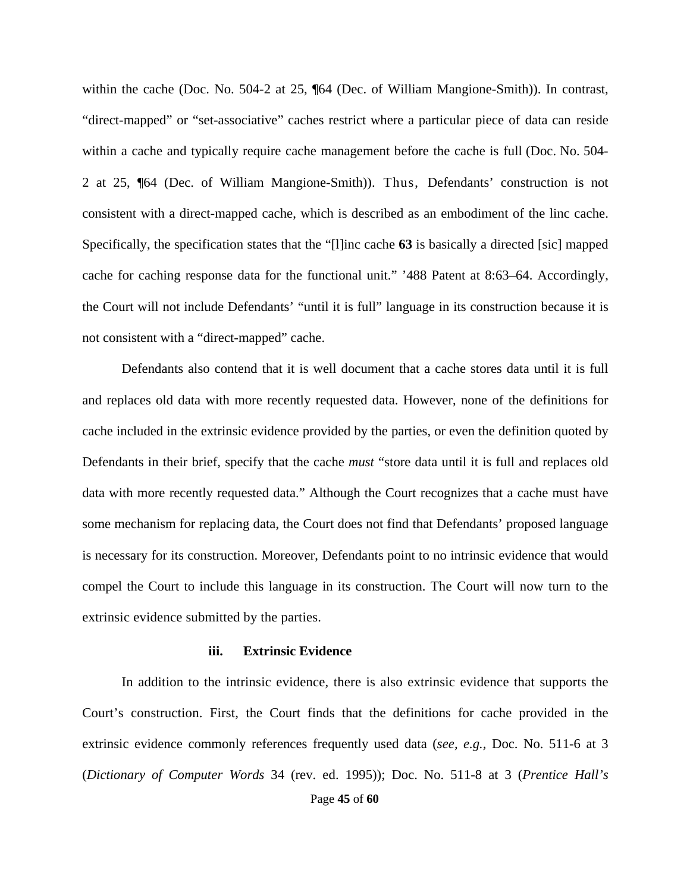within the cache (Doc. No. 504-2 at 25, ¶64 (Dec. of William Mangione-Smith)). In contrast, "direct-mapped" or "set-associative" caches restrict where a particular piece of data can reside within a cache and typically require cache management before the cache is full (Doc. No. 504- 2 at 25, ¶64 (Dec. of William Mangione-Smith)). Thus, Defendants' construction is not consistent with a direct-mapped cache, which is described as an embodiment of the linc cache. Specifically, the specification states that the "[l]inc cache **63** is basically a directed [sic] mapped cache for caching response data for the functional unit." '488 Patent at 8:63–64. Accordingly, the Court will not include Defendants' "until it is full" language in its construction because it is not consistent with a "direct-mapped" cache.

Defendants also contend that it is well document that a cache stores data until it is full and replaces old data with more recently requested data. However, none of the definitions for cache included in the extrinsic evidence provided by the parties, or even the definition quoted by Defendants in their brief, specify that the cache *must* "store data until it is full and replaces old data with more recently requested data." Although the Court recognizes that a cache must have some mechanism for replacing data, the Court does not find that Defendants' proposed language is necessary for its construction. Moreover, Defendants point to no intrinsic evidence that would compel the Court to include this language in its construction. The Court will now turn to the extrinsic evidence submitted by the parties.

#### **iii. Extrinsic Evidence**

Page **45** of **60** In addition to the intrinsic evidence, there is also extrinsic evidence that supports the Court's construction. First, the Court finds that the definitions for cache provided in the extrinsic evidence commonly references frequently used data (*see, e.g.,* Doc. No. 511-6 at 3 (*Dictionary of Computer Words* 34 (rev. ed. 1995)); Doc. No. 511-8 at 3 (*Prentice Hall's*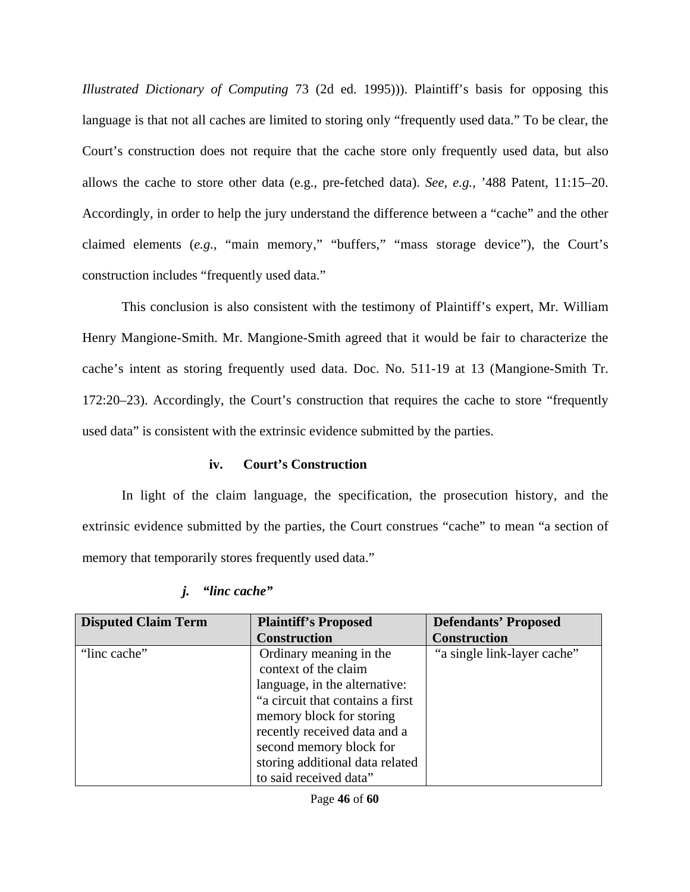*Illustrated Dictionary of Computing* 73 (2d ed. 1995))). Plaintiff's basis for opposing this language is that not all caches are limited to storing only "frequently used data." To be clear, the Court's construction does not require that the cache store only frequently used data, but also allows the cache to store other data (e.g., pre-fetched data). *See, e.g.,* '488 Patent, 11:15–20. Accordingly, in order to help the jury understand the difference between a "cache" and the other claimed elements (*e.g.*, "main memory," "buffers," "mass storage device"), the Court's construction includes "frequently used data."

This conclusion is also consistent with the testimony of Plaintiff's expert, Mr. William Henry Mangione-Smith. Mr. Mangione-Smith agreed that it would be fair to characterize the cache's intent as storing frequently used data. Doc. No. 511-19 at 13 (Mangione-Smith Tr. 172:20–23). Accordingly, the Court's construction that requires the cache to store "frequently used data" is consistent with the extrinsic evidence submitted by the parties.

## **iv. Court's Construction**

In light of the claim language, the specification, the prosecution history, and the extrinsic evidence submitted by the parties, the Court construes "cache" to mean "a section of memory that temporarily stores frequently used data."

| <b>Disputed Claim Term</b> | <b>Plaintiff's Proposed</b>      | <b>Defendants' Proposed</b> |
|----------------------------|----------------------------------|-----------------------------|
|                            | <b>Construction</b>              | <b>Construction</b>         |
| "linc cache"               | Ordinary meaning in the          | "a single link-layer cache" |
|                            | context of the claim             |                             |
|                            | language, in the alternative:    |                             |
|                            | "a circuit that contains a first |                             |
|                            | memory block for storing         |                             |
|                            | recently received data and a     |                             |
|                            | second memory block for          |                             |
|                            | storing additional data related  |                             |
|                            | to said received data"           |                             |

# *j. "linc cache"*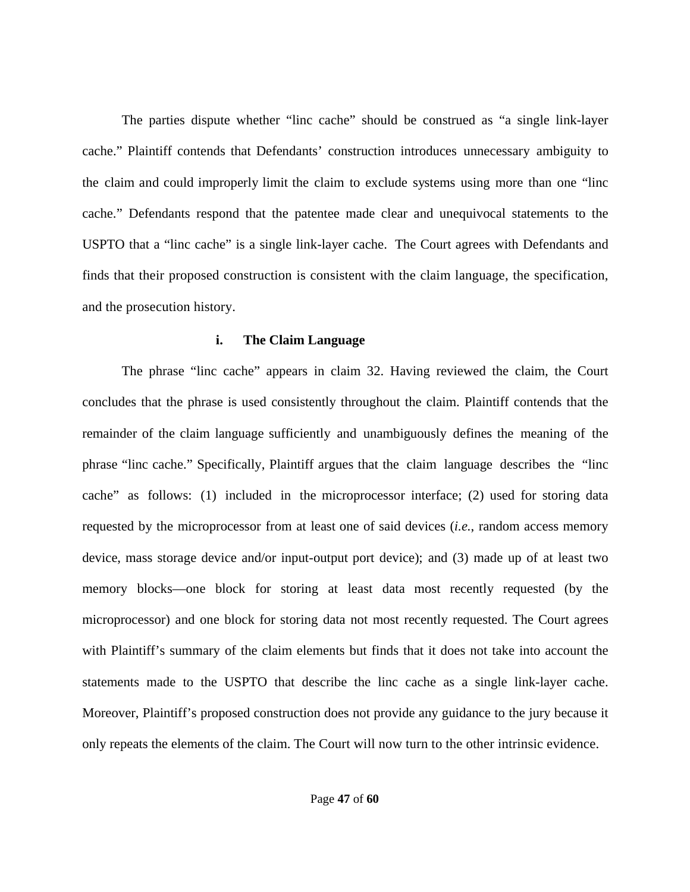The parties dispute whether "linc cache" should be construed as "a single link-layer cache." Plaintiff contends that Defendants' construction introduces unnecessary ambiguity to the claim and could improperly limit the claim to exclude systems using more than one "linc cache." Defendants respond that the patentee made clear and unequivocal statements to the USPTO that a "linc cache" is a single link-layer cache. The Court agrees with Defendants and finds that their proposed construction is consistent with the claim language, the specification, and the prosecution history.

## **i. The Claim Language**

The phrase "linc cache" appears in claim 32. Having reviewed the claim, the Court concludes that the phrase is used consistently throughout the claim. Plaintiff contends that the remainder of the claim language sufficiently and unambiguously defines the meaning of the phrase "linc cache." Specifically, Plaintiff argues that the claim language describes the "linc cache" as follows: (1) included in the microprocessor interface; (2) used for storing data requested by the microprocessor from at least one of said devices (*i.e.*, random access memory device, mass storage device and/or input-output port device); and (3) made up of at least two memory blocks—one block for storing at least data most recently requested (by the microprocessor) and one block for storing data not most recently requested. The Court agrees with Plaintiff's summary of the claim elements but finds that it does not take into account the statements made to the USPTO that describe the linc cache as a single link-layer cache. Moreover, Plaintiff's proposed construction does not provide any guidance to the jury because it only repeats the elements of the claim. The Court will now turn to the other intrinsic evidence.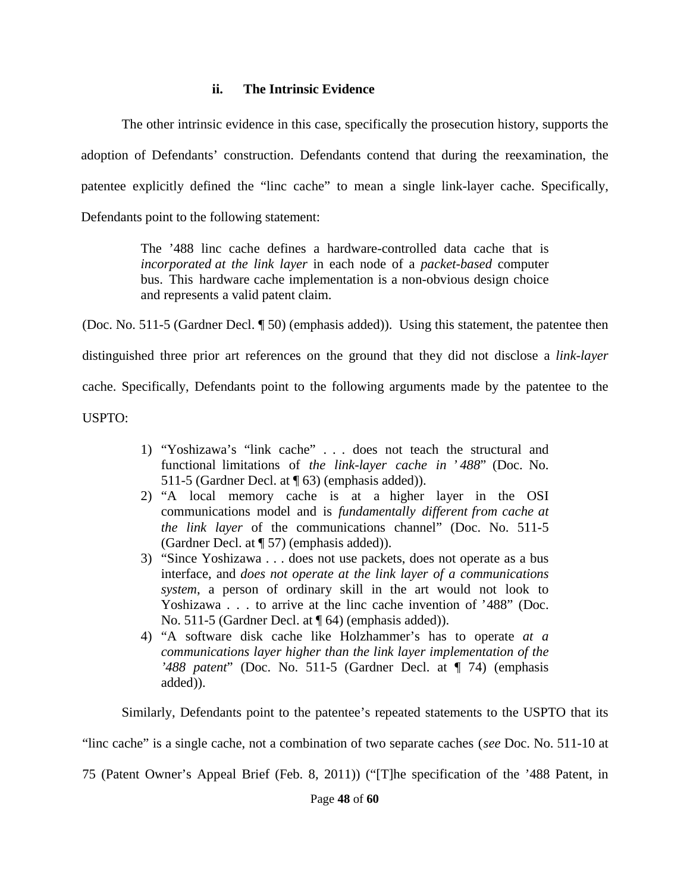## **ii. The Intrinsic Evidence**

The other intrinsic evidence in this case, specifically the prosecution history, supports the adoption of Defendants' construction. Defendants contend that during the reexamination, the patentee explicitly defined the "linc cache" to mean a single link-layer cache. Specifically, Defendants point to the following statement:

> The '488 linc cache defines a hardware-controlled data cache that is *incorporated at the link layer* in each node of a *packet-based* computer bus. This hardware cache implementation is a non-obvious design choice and represents a valid patent claim.

(Doc. No. 511-5 (Gardner Decl. ¶ 50) (emphasis added)). Using this statement, the patentee then distinguished three prior art references on the ground that they did not disclose a *link-layer* cache. Specifically, Defendants point to the following arguments made by the patentee to the USPTO:

- 1) "Yoshizawa's "link cache" . . . does not teach the structural and functional limitations of *the link-layer cache in ' 488*" (Doc. No. 511-5 (Gardner Decl. at ¶ 63) (emphasis added)).
- 2) "A local memory cache is at a higher layer in the OSI communications model and is *fundamentally different from cache at the link layer* of the communications channel" (Doc. No. 511-5 (Gardner Decl. at ¶ 57) (emphasis added)).
- 3) "Since Yoshizawa . . . does not use packets, does not operate as a bus interface, and *does not operate at the link layer of a communications system*, a person of ordinary skill in the art would not look to Yoshizawa . . . to arrive at the linc cache invention of '488" (Doc. No. 511-5 (Gardner Decl. at ¶ 64) (emphasis added)).
- 4) "A software disk cache like Holzhammer's has to operate *at a communications layer higher than the link layer implementation of the '488 patent*" (Doc. No. 511-5 (Gardner Decl. at ¶ 74) (emphasis added)).

Similarly, Defendants point to the patentee's repeated statements to the USPTO that its

"linc cache" is a single cache, not a combination of two separate caches (*see* Doc. No. 511-10 at

75 (Patent Owner's Appeal Brief (Feb. 8, 2011)) ("[T]he specification of the '488 Patent, in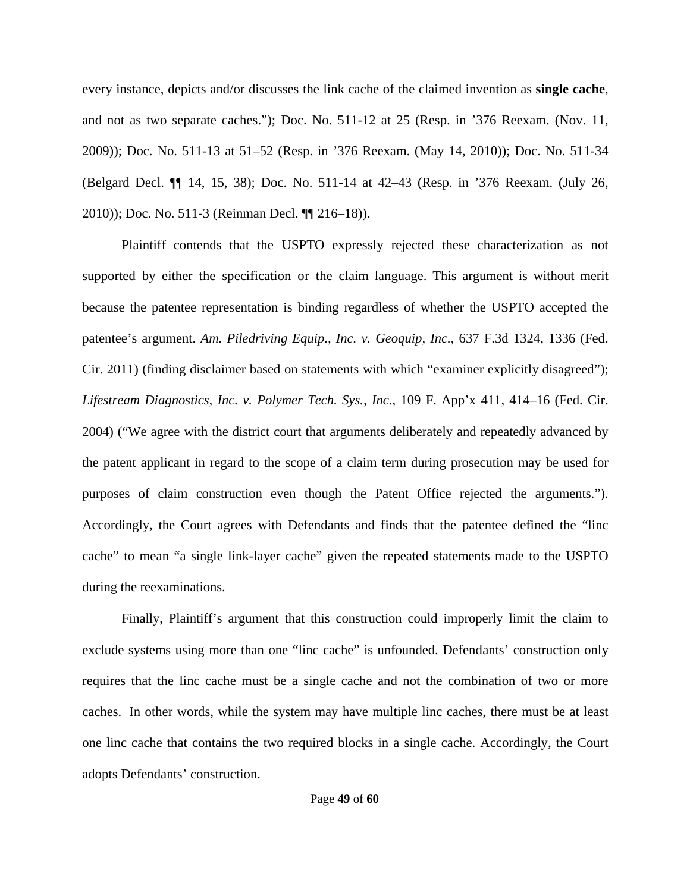every instance, depicts and/or discusses the link cache of the claimed invention as **single cache**, and not as two separate caches."); Doc. No. 511-12 at 25 (Resp. in '376 Reexam. (Nov. 11, 2009)); Doc. No. 511-13 at 51–52 (Resp. in '376 Reexam. (May 14, 2010)); Doc. No. 511-34 (Belgard Decl. ¶¶ 14, 15, 38); Doc. No. 511-14 at 42–43 (Resp. in '376 Reexam. (July 26, 2010)); Doc. No. 511-3 (Reinman Decl. ¶¶ 216–18)).

Plaintiff contends that the USPTO expressly rejected these characterization as not supported by either the specification or the claim language. This argument is without merit because the patentee representation is binding regardless of whether the USPTO accepted the patentee's argument. *Am. Piledriving Equip., Inc. v. Geoquip, Inc.*, 637 F.3d 1324, 1336 (Fed. Cir. 2011) (finding disclaimer based on statements with which "examiner explicitly disagreed"); *Lifestream Diagnostics, Inc. v. Polymer Tech. Sys., Inc.*, 109 F. App'x 411, 414–16 (Fed. Cir. 2004) ("We agree with the district court that arguments deliberately and repeatedly advanced by the patent applicant in regard to the scope of a claim term during prosecution may be used for purposes of claim construction even though the Patent Office rejected the arguments."). Accordingly, the Court agrees with Defendants and finds that the patentee defined the "linc cache" to mean "a single link-layer cache" given the repeated statements made to the USPTO during the reexaminations.

Finally, Plaintiff's argument that this construction could improperly limit the claim to exclude systems using more than one "linc cache" is unfounded. Defendants' construction only requires that the linc cache must be a single cache and not the combination of two or more caches. In other words, while the system may have multiple linc caches, there must be at least one linc cache that contains the two required blocks in a single cache. Accordingly, the Court adopts Defendants' construction.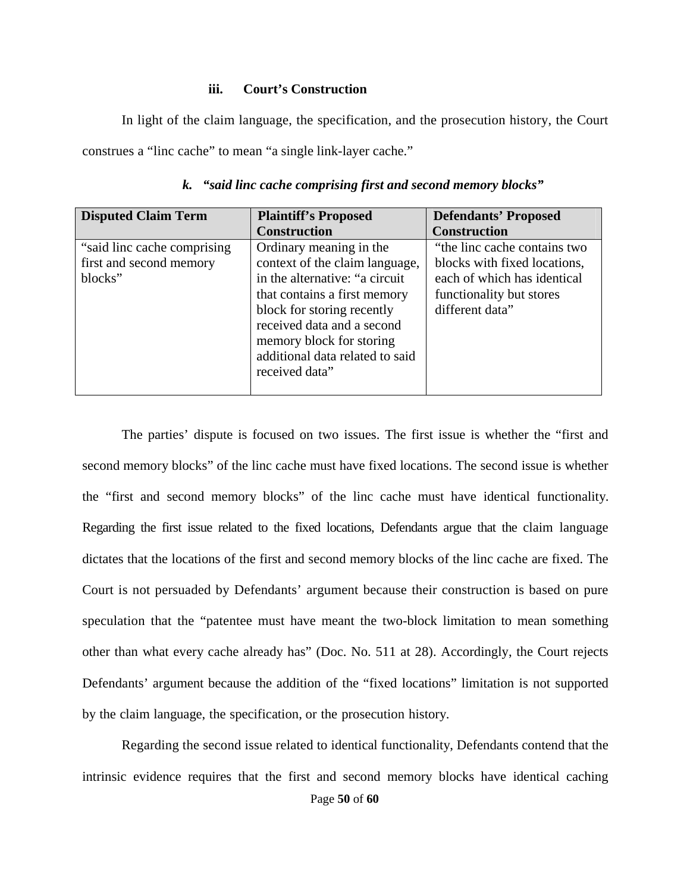## **iii. Court's Construction**

In light of the claim language, the specification, and the prosecution history, the Court construes a "linc cache" to mean "a single link-layer cache."

| <b>Disputed Claim Term</b>  | <b>Plaintiff's Proposed</b>     | <b>Defendants' Proposed</b>  |
|-----------------------------|---------------------------------|------------------------------|
|                             | <b>Construction</b>             | <b>Construction</b>          |
| "said line cache comprising | Ordinary meaning in the         | "the linc cache contains two |
| first and second memory     | context of the claim language,  | blocks with fixed locations, |
| blocks"                     | in the alternative: "a circuit  | each of which has identical  |
|                             | that contains a first memory    | functionality but stores     |
|                             | block for storing recently      | different data"              |
|                             | received data and a second      |                              |
|                             | memory block for storing        |                              |
|                             | additional data related to said |                              |
|                             | received data"                  |                              |
|                             |                                 |                              |

*k. "said linc cache comprising first and second memory blocks"* 

The parties' dispute is focused on two issues. The first issue is whether the "first and second memory blocks" of the linc cache must have fixed locations. The second issue is whether the "first and second memory blocks" of the linc cache must have identical functionality. Regarding the first issue related to the fixed locations, Defendants argue that the claim language dictates that the locations of the first and second memory blocks of the linc cache are fixed. The Court is not persuaded by Defendants' argument because their construction is based on pure speculation that the "patentee must have meant the two-block limitation to mean something other than what every cache already has" (Doc. No. 511 at 28). Accordingly, the Court rejects Defendants' argument because the addition of the "fixed locations" limitation is not supported by the claim language, the specification, or the prosecution history.

Regarding the second issue related to identical functionality, Defendants contend that the intrinsic evidence requires that the first and second memory blocks have identical caching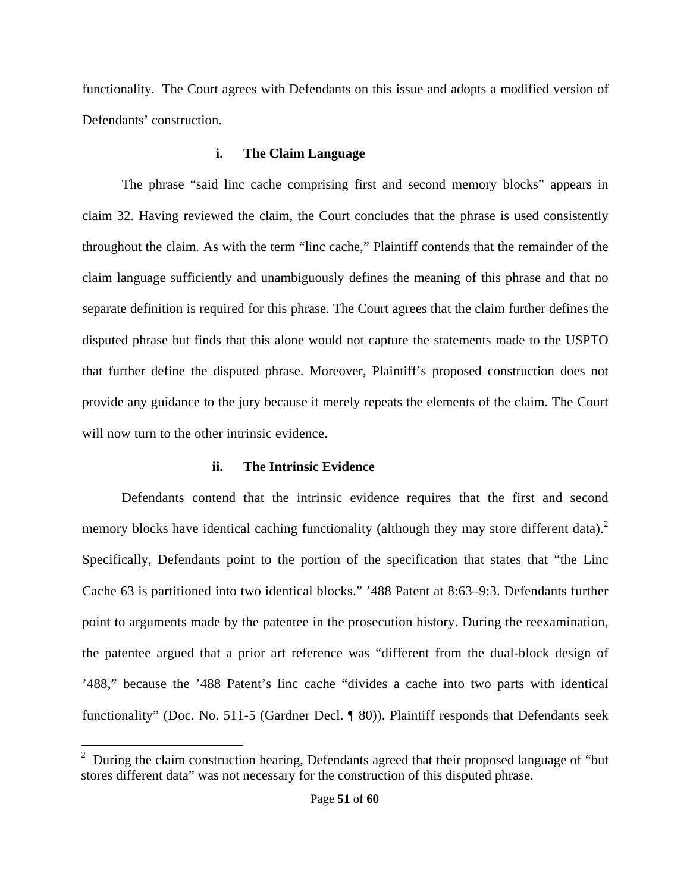functionality. The Court agrees with Defendants on this issue and adopts a modified version of Defendants' construction.

# **i. The Claim Language**

The phrase "said linc cache comprising first and second memory blocks" appears in claim 32. Having reviewed the claim, the Court concludes that the phrase is used consistently throughout the claim. As with the term "linc cache," Plaintiff contends that the remainder of the claim language sufficiently and unambiguously defines the meaning of this phrase and that no separate definition is required for this phrase. The Court agrees that the claim further defines the disputed phrase but finds that this alone would not capture the statements made to the USPTO that further define the disputed phrase. Moreover, Plaintiff's proposed construction does not provide any guidance to the jury because it merely repeats the elements of the claim. The Court will now turn to the other intrinsic evidence.

# **ii. The Intrinsic Evidence**

Defendants contend that the intrinsic evidence requires that the first and second memory blocks have identical caching functionality (although they may store different data).<sup>2</sup> Specifically, Defendants point to the portion of the specification that states that "the Linc Cache 63 is partitioned into two identical blocks." '488 Patent at 8:63–9:3. Defendants further point to arguments made by the patentee in the prosecution history. During the reexamination, the patentee argued that a prior art reference was "different from the dual-block design of '488," because the '488 Patent's linc cache "divides a cache into two parts with identical functionality" (Doc. No. 511-5 (Gardner Decl. ¶ 80)). Plaintiff responds that Defendants seek

<sup>&</sup>lt;sup>2</sup> During the claim construction hearing, Defendants agreed that their proposed language of "but" stores different data" was not necessary for the construction of this disputed phrase.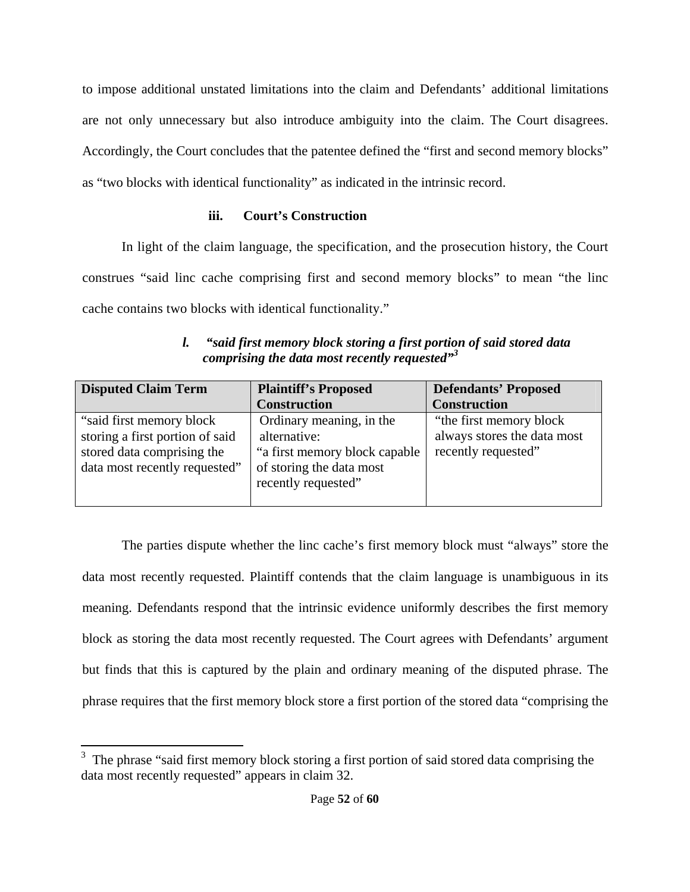to impose additional unstated limitations into the claim and Defendants' additional limitations are not only unnecessary but also introduce ambiguity into the claim. The Court disagrees. Accordingly, the Court concludes that the patentee defined the "first and second memory blocks" as "two blocks with identical functionality" as indicated in the intrinsic record.

# **iii. Court's Construction**

In light of the claim language, the specification, and the prosecution history, the Court construes "said linc cache comprising first and second memory blocks" to mean "the linc cache contains two blocks with identical functionality."

| "said first memory block storing a first portion of said stored data |
|----------------------------------------------------------------------|
| comprising the data most recently requested"                         |

| <b>Disputed Claim Term</b>      | <b>Plaintiff's Proposed</b>    | <b>Defendants' Proposed</b> |
|---------------------------------|--------------------------------|-----------------------------|
|                                 | <b>Construction</b>            | <b>Construction</b>         |
| "said first memory block"       | Ordinary meaning, in the       | "the first memory block"    |
| storing a first portion of said | alternative:                   | always stores the data most |
| stored data comprising the      | "a first memory block capable" | recently requested"         |
| data most recently requested"   | of storing the data most       |                             |
|                                 | recently requested"            |                             |
|                                 |                                |                             |

The parties dispute whether the linc cache's first memory block must "always" store the data most recently requested. Plaintiff contends that the claim language is unambiguous in its meaning. Defendants respond that the intrinsic evidence uniformly describes the first memory block as storing the data most recently requested. The Court agrees with Defendants' argument but finds that this is captured by the plain and ordinary meaning of the disputed phrase. The phrase requires that the first memory block store a first portion of the stored data "comprising the

 3 The phrase "said first memory block storing a first portion of said stored data comprising the data most recently requested" appears in claim 32.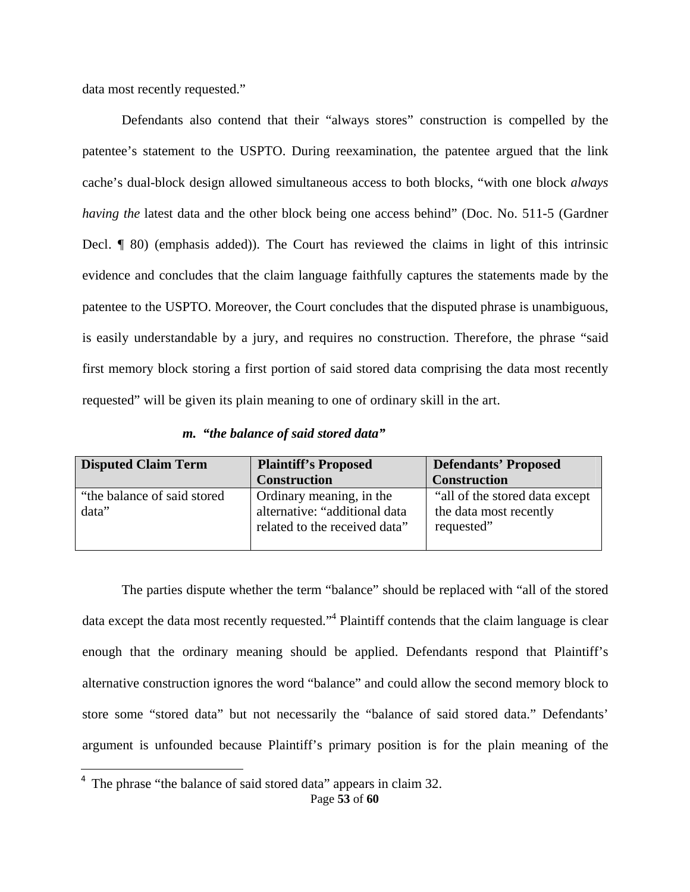data most recently requested."

Defendants also contend that their "always stores" construction is compelled by the patentee's statement to the USPTO. During reexamination, the patentee argued that the link cache's dual-block design allowed simultaneous access to both blocks, "with one block *always having the* latest data and the other block being one access behind" (Doc. No. 511-5 (Gardner Decl. ¶ 80) (emphasis added)). The Court has reviewed the claims in light of this intrinsic evidence and concludes that the claim language faithfully captures the statements made by the patentee to the USPTO. Moreover, the Court concludes that the disputed phrase is unambiguous, is easily understandable by a jury, and requires no construction. Therefore, the phrase "said first memory block storing a first portion of said stored data comprising the data most recently requested" will be given its plain meaning to one of ordinary skill in the art.

|  |  | m. "the balance of said stored data" |  |  |  |  |
|--|--|--------------------------------------|--|--|--|--|
|--|--|--------------------------------------|--|--|--|--|

| <b>Disputed Claim Term</b>            | <b>Plaintiff's Proposed</b>                                                                | <b>Defendants' Proposed</b>                                             |  |
|---------------------------------------|--------------------------------------------------------------------------------------------|-------------------------------------------------------------------------|--|
|                                       | <b>Construction</b>                                                                        | <b>Construction</b>                                                     |  |
| "the balance of said stored"<br>data" | Ordinary meaning, in the<br>alternative: "additional data<br>related to the received data" | "all of the stored data except"<br>the data most recently<br>requested" |  |

The parties dispute whether the term "balance" should be replaced with "all of the stored data except the data most recently requested."<sup>4</sup> Plaintiff contends that the claim language is clear enough that the ordinary meaning should be applied. Defendants respond that Plaintiff's alternative construction ignores the word "balance" and could allow the second memory block to store some "stored data" but not necessarily the "balance of said stored data." Defendants' argument is unfounded because Plaintiff's primary position is for the plain meaning of the

Page **53** of **60** <sup>4</sup> The phrase "the balance of said stored data" appears in claim 32.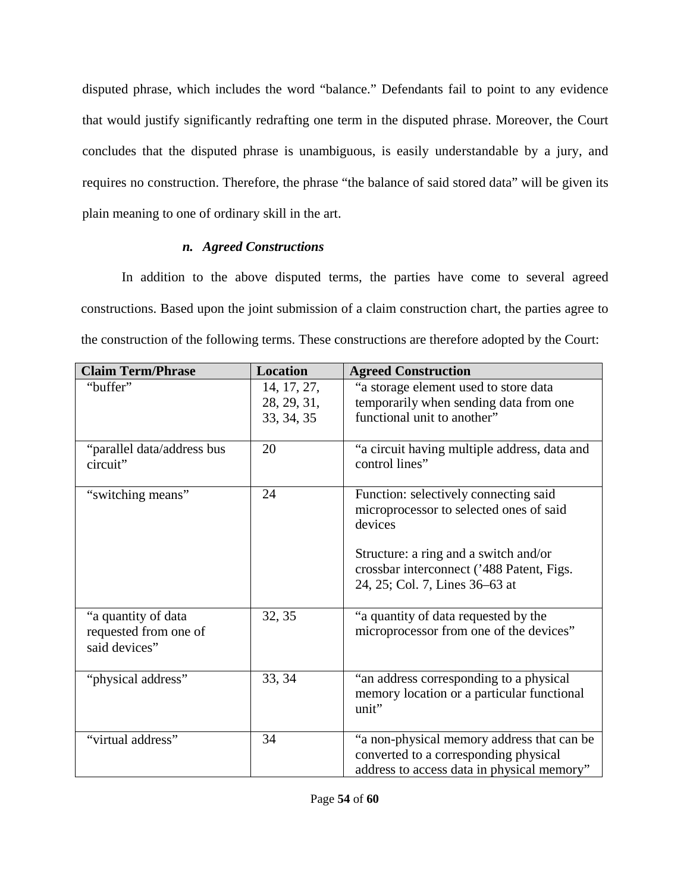disputed phrase, which includes the word "balance." Defendants fail to point to any evidence that would justify significantly redrafting one term in the disputed phrase. Moreover, the Court concludes that the disputed phrase is unambiguous, is easily understandable by a jury, and requires no construction. Therefore, the phrase "the balance of said stored data" will be given its plain meaning to one of ordinary skill in the art.

# *n. Agreed Constructions*

In addition to the above disputed terms, the parties have come to several agreed constructions. Based upon the joint submission of a claim construction chart, the parties agree to the construction of the following terms. These constructions are therefore adopted by the Court:

| <b>Claim Term/Phrase</b>                                      | <b>Location</b>                          | <b>Agreed Construction</b>                                                                                                                                                                                          |
|---------------------------------------------------------------|------------------------------------------|---------------------------------------------------------------------------------------------------------------------------------------------------------------------------------------------------------------------|
| "buffer"                                                      | 14, 17, 27,<br>28, 29, 31,<br>33, 34, 35 | "a storage element used to store data<br>temporarily when sending data from one<br>functional unit to another"                                                                                                      |
| "parallel data/address bus<br>circuit"                        | 20                                       | "a circuit having multiple address, data and<br>control lines"                                                                                                                                                      |
| "switching means"                                             | 24                                       | Function: selectively connecting said<br>microprocessor to selected ones of said<br>devices<br>Structure: a ring and a switch and/or<br>crossbar interconnect ('488 Patent, Figs.<br>24, 25; Col. 7, Lines 36–63 at |
| "a quantity of data<br>requested from one of<br>said devices" | 32, 35                                   | "a quantity of data requested by the<br>microprocessor from one of the devices"                                                                                                                                     |
| "physical address"                                            | 33, 34                                   | "an address corresponding to a physical<br>memory location or a particular functional<br>unit"                                                                                                                      |
| "virtual address"                                             | 34                                       | "a non-physical memory address that can be<br>converted to a corresponding physical<br>address to access data in physical memory"                                                                                   |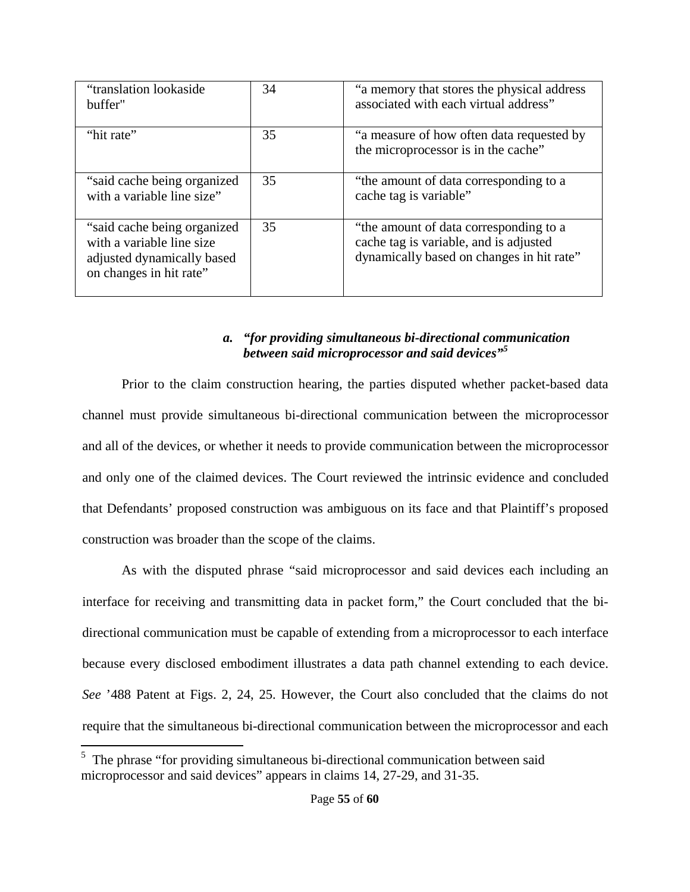| "translation lookaside"<br>buffer"                                                                                | 34 | "a memory that stores the physical address<br>associated with each virtual address"                                           |
|-------------------------------------------------------------------------------------------------------------------|----|-------------------------------------------------------------------------------------------------------------------------------|
| "hit rate"                                                                                                        | 35 | "a measure of how often data requested by<br>the microprocessor is in the cache"                                              |
| "said cache being organized<br>with a variable line size"                                                         | 35 | "the amount of data corresponding to a<br>cache tag is variable"                                                              |
| "said cache being organized<br>with a variable line size<br>adjusted dynamically based<br>on changes in hit rate" | 35 | "the amount of data corresponding to a<br>cache tag is variable, and is adjusted<br>dynamically based on changes in hit rate" |

# *a. "for providing simultaneous bi-directional communication between said microprocessor and said devices"<sup>5</sup>*

Prior to the claim construction hearing, the parties disputed whether packet-based data channel must provide simultaneous bi-directional communication between the microprocessor and all of the devices, or whether it needs to provide communication between the microprocessor and only one of the claimed devices. The Court reviewed the intrinsic evidence and concluded that Defendants' proposed construction was ambiguous on its face and that Plaintiff's proposed construction was broader than the scope of the claims.

As with the disputed phrase "said microprocessor and said devices each including an interface for receiving and transmitting data in packet form," the Court concluded that the bidirectional communication must be capable of extending from a microprocessor to each interface because every disclosed embodiment illustrates a data path channel extending to each device. *See* '488 Patent at Figs. 2, 24, 25. However, the Court also concluded that the claims do not require that the simultaneous bi-directional communication between the microprocessor and each

<sup>&</sup>lt;sup>5</sup> The phrase "for providing simultaneous bi-directional communication between said microprocessor and said devices" appears in claims 14, 27-29, and 31-35.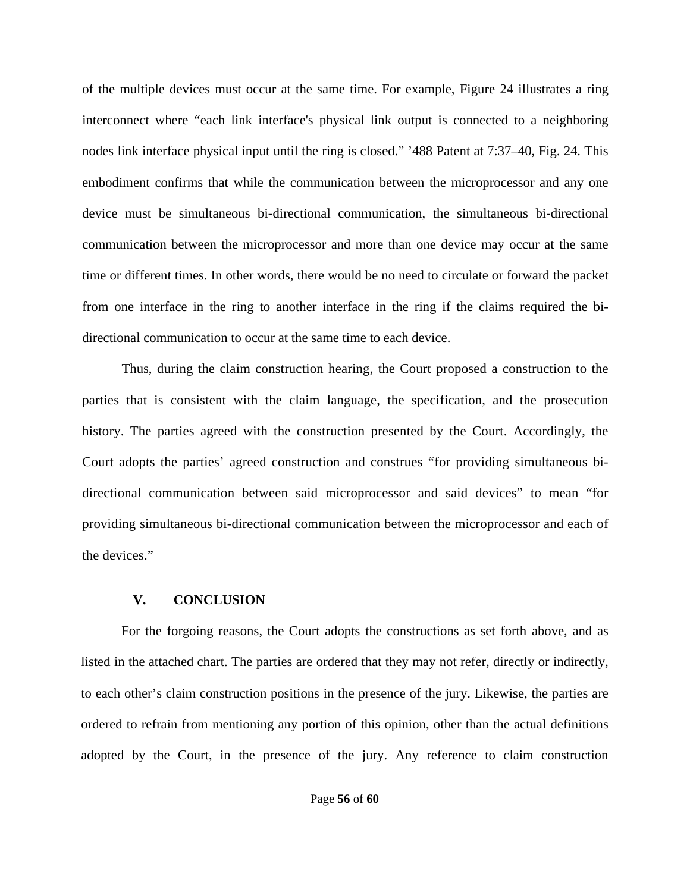of the multiple devices must occur at the same time. For example, Figure 24 illustrates a ring interconnect where "each link interface's physical link output is connected to a neighboring nodes link interface physical input until the ring is closed." '488 Patent at 7:37–40, Fig. 24. This embodiment confirms that while the communication between the microprocessor and any one device must be simultaneous bi-directional communication, the simultaneous bi-directional communication between the microprocessor and more than one device may occur at the same time or different times. In other words, there would be no need to circulate or forward the packet from one interface in the ring to another interface in the ring if the claims required the bidirectional communication to occur at the same time to each device.

Thus, during the claim construction hearing, the Court proposed a construction to the parties that is consistent with the claim language, the specification, and the prosecution history. The parties agreed with the construction presented by the Court. Accordingly, the Court adopts the parties' agreed construction and construes "for providing simultaneous bidirectional communication between said microprocessor and said devices" to mean "for providing simultaneous bi-directional communication between the microprocessor and each of the devices."

## **V. CONCLUSION**

For the forgoing reasons, the Court adopts the constructions as set forth above, and as listed in the attached chart. The parties are ordered that they may not refer, directly or indirectly, to each other's claim construction positions in the presence of the jury. Likewise, the parties are ordered to refrain from mentioning any portion of this opinion, other than the actual definitions adopted by the Court, in the presence of the jury. Any reference to claim construction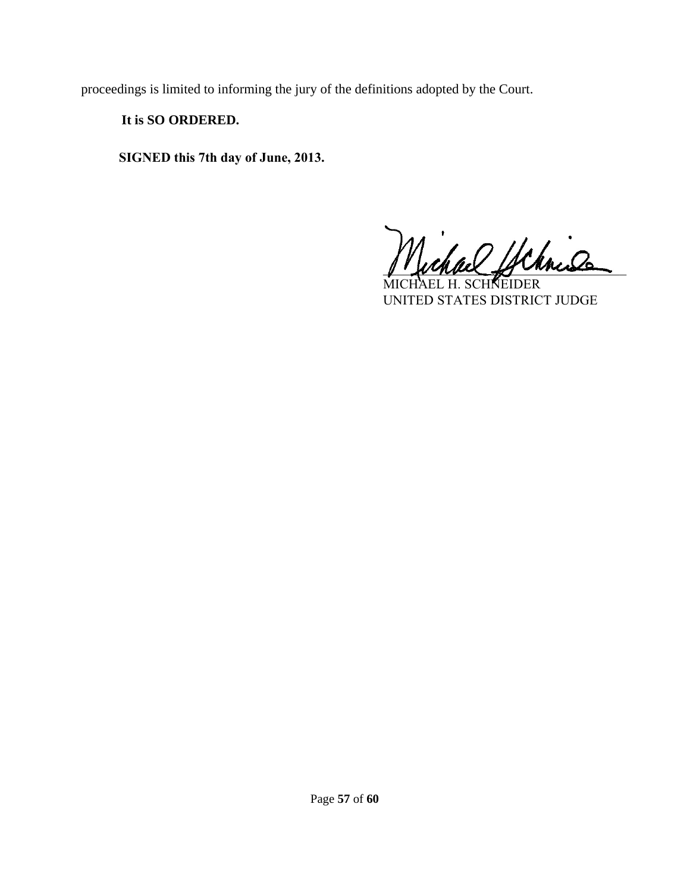proceedings is limited to informing the jury of the definitions adopted by the Court.

# **It is SO ORDERED.**

**SIGNED this 7th day of June, 2013.**

chach ychnis

AEL H. SCH**N**EIDER UNITED STATES DISTRICT JUDGE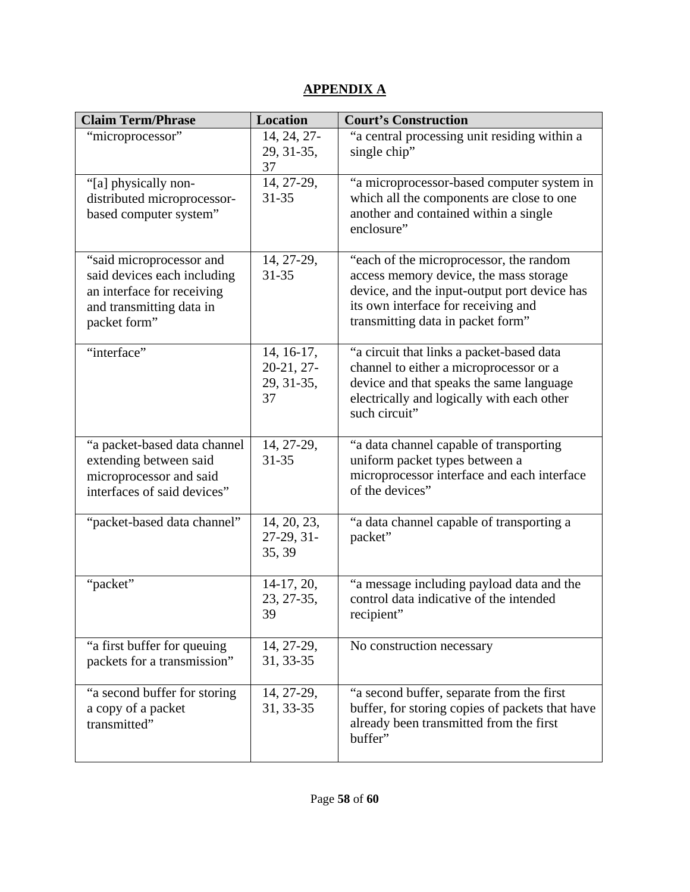# **APPENDIX A**

| <b>Claim Term/Phrase</b>                                                                                                          | <b>Location</b>                                | <b>Court's Construction</b>                                                                                                                                                                                   |
|-----------------------------------------------------------------------------------------------------------------------------------|------------------------------------------------|---------------------------------------------------------------------------------------------------------------------------------------------------------------------------------------------------------------|
| "microprocessor"                                                                                                                  | 14, 24, 27-<br>29, 31-35,<br>37                | "a central processing unit residing within a<br>single chip"                                                                                                                                                  |
| "[a] physically non-<br>distributed microprocessor-<br>based computer system"                                                     | 14, 27-29,<br>31-35                            | "a microprocessor-based computer system in<br>which all the components are close to one<br>another and contained within a single<br>enclosure"                                                                |
| "said microprocessor and<br>said devices each including<br>an interface for receiving<br>and transmitting data in<br>packet form" | 14, 27-29,<br>$31 - 35$                        | "each of the microprocessor, the random<br>access memory device, the mass storage<br>device, and the input-output port device has<br>its own interface for receiving and<br>transmitting data in packet form" |
| "interface"                                                                                                                       | 14, 16-17,<br>$20-21, 27-$<br>29, 31-35,<br>37 | "a circuit that links a packet-based data<br>channel to either a microprocessor or a<br>device and that speaks the same language<br>electrically and logically with each other<br>such circuit"               |
| "a packet-based data channel<br>extending between said<br>microprocessor and said<br>interfaces of said devices"                  | 14, 27-29,<br>$31 - 35$                        | "a data channel capable of transporting<br>uniform packet types between a<br>microprocessor interface and each interface<br>of the devices"                                                                   |
| "packet-based data channel"                                                                                                       | 14, 20, 23,<br>27-29, 31-<br>35, 39            | "a data channel capable of transporting a<br>packet"                                                                                                                                                          |
| "packet"                                                                                                                          | $14-17, 20,$<br>23, 27-35,<br>39               | "a message including payload data and the<br>control data indicative of the intended<br>recipient"                                                                                                            |
| "a first buffer for queuing<br>packets for a transmission"                                                                        | 14, 27-29,<br>31, 33-35                        | No construction necessary                                                                                                                                                                                     |
| "a second buffer for storing<br>a copy of a packet<br>transmitted"                                                                | 14, 27-29,<br>31, 33-35                        | "a second buffer, separate from the first<br>buffer, for storing copies of packets that have<br>already been transmitted from the first<br>buffer"                                                            |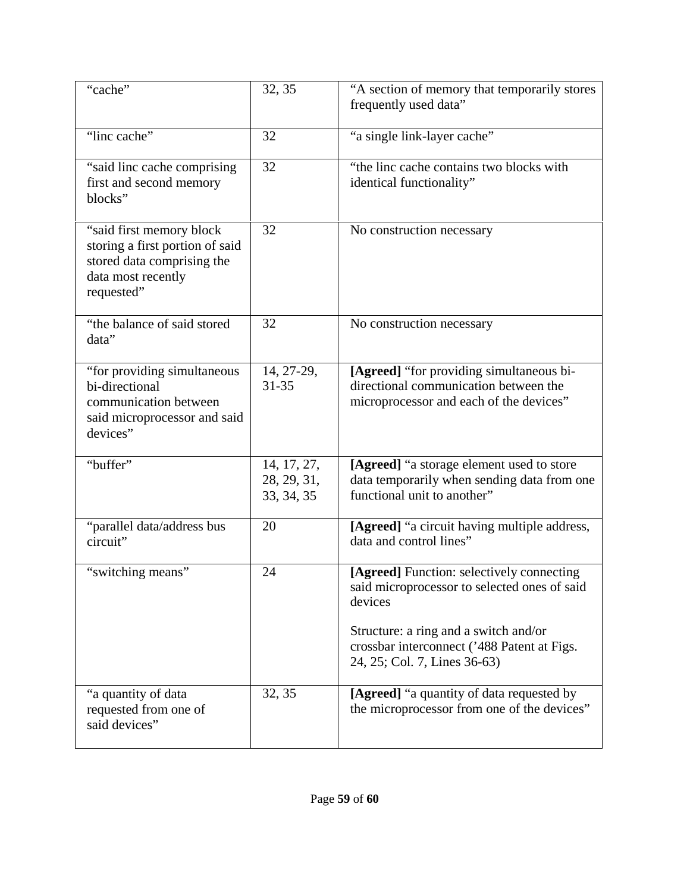| "cache"                                                                                                                        | 32, 35                                   | "A section of memory that temporarily stores<br>frequently used data"                                                                                                                                                        |
|--------------------------------------------------------------------------------------------------------------------------------|------------------------------------------|------------------------------------------------------------------------------------------------------------------------------------------------------------------------------------------------------------------------------|
| "linc cache"                                                                                                                   | 32                                       | "a single link-layer cache"                                                                                                                                                                                                  |
| "said linc cache comprising<br>first and second memory<br>blocks"                                                              | 32                                       | "the linc cache contains two blocks with<br>identical functionality"                                                                                                                                                         |
| "said first memory block"<br>storing a first portion of said<br>stored data comprising the<br>data most recently<br>requested" | 32                                       | No construction necessary                                                                                                                                                                                                    |
| "the balance of said stored<br>data"                                                                                           | 32                                       | No construction necessary                                                                                                                                                                                                    |
| "for providing simultaneous<br>bi-directional<br>communication between<br>said microprocessor and said<br>devices"             | 14, 27-29,<br>$31 - 35$                  | [Agreed] "for providing simultaneous bi-<br>directional communication between the<br>microprocessor and each of the devices"                                                                                                 |
| "buffer"                                                                                                                       | 14, 17, 27,<br>28, 29, 31,<br>33, 34, 35 | [Agreed] "a storage element used to store<br>data temporarily when sending data from one<br>functional unit to another"                                                                                                      |
| "parallel data/address bus<br>circuit"                                                                                         | 20                                       | [Agreed] "a circuit having multiple address,<br>data and control lines"                                                                                                                                                      |
| "switching means"                                                                                                              | 24                                       | [Agreed] Function: selectively connecting<br>said microprocessor to selected ones of said<br>devices<br>Structure: a ring and a switch and/or<br>crossbar interconnect ('488 Patent at Figs.<br>24, 25; Col. 7, Lines 36-63) |
| "a quantity of data<br>requested from one of<br>said devices"                                                                  | 32, 35                                   | [Agreed] "a quantity of data requested by<br>the microprocessor from one of the devices"                                                                                                                                     |